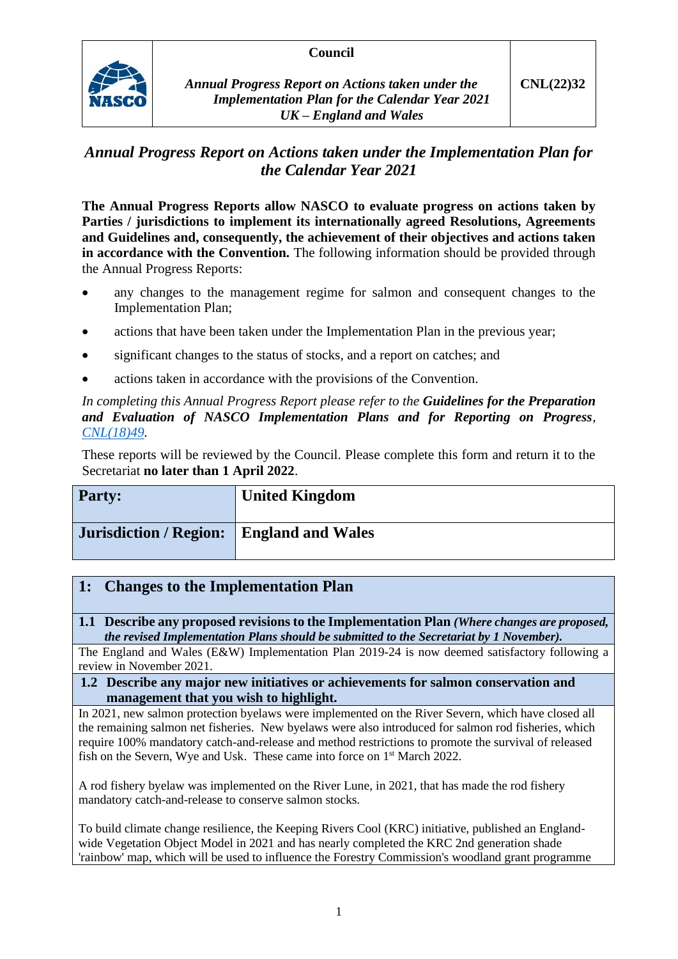## **Council**



*Annual Progress Report on Actions taken under the Implementation Plan for the Calendar Year 2021 UK – England and Wales*

## *Annual Progress Report on Actions taken under the Implementation Plan for the Calendar Year 2021*

**The Annual Progress Reports allow NASCO to evaluate progress on actions taken by Parties / jurisdictions to implement its internationally agreed Resolutions, Agreements and Guidelines and, consequently, the achievement of their objectives and actions taken in accordance with the Convention.** The following information should be provided through the Annual Progress Reports:

- any changes to the management regime for salmon and consequent changes to the Implementation Plan;
- actions that have been taken under the Implementation Plan in the previous year;
- significant changes to the status of stocks, and a report on catches; and
- actions taken in accordance with the provisions of the Convention.

*In completing this Annual Progress Report please refer to the Guidelines for the Preparation and Evaluation of NASCO Implementation Plans and for Reporting on Progress, [CNL\(18\)49.](https://nasco.int/wp-content/uploads/2020/02/CNL1849_Guidelines-for-the-Preparation-and-Evaluation-of-NASCO-Implementation-Plans-and-for-Reporting-on-Progress.pdf)*

These reports will be reviewed by the Council. Please complete this form and return it to the Secretariat **no later than 1 April 2022**.

| <b>Party:</b>          | <b>United Kingdom</b>    |
|------------------------|--------------------------|
| Jurisdiction / Region: | <b>England and Wales</b> |

## **1: Changes to the Implementation Plan**

**1.1 Describe any proposed revisions to the Implementation Plan** *(Where changes are proposed, the revised Implementation Plans should be submitted to the Secretariat by 1 November).*

The England and Wales (E&W) Implementation Plan 2019-24 is now deemed satisfactory following a review in November 2021.

#### **1.2 Describe any major new initiatives or achievements for salmon conservation and management that you wish to highlight.**

In 2021, new salmon protection byelaws were implemented on the River Severn, which have closed all the remaining salmon net fisheries. New byelaws were also introduced for salmon rod fisheries, which require 100% mandatory catch-and-release and method restrictions to promote the survival of released fish on the Severn, Wye and Usk. These came into force on 1<sup>st</sup> March 2022.

A rod fishery byelaw was implemented on the River Lune, in 2021, that has made the rod fishery mandatory catch-and-release to conserve salmon stocks.

To build climate change resilience, the Keeping Rivers Cool (KRC) initiative, published an Englandwide Vegetation Object Model in 2021 and has nearly completed the KRC 2nd generation shade 'rainbow' map, which will be used to influence the Forestry Commission's woodland grant programme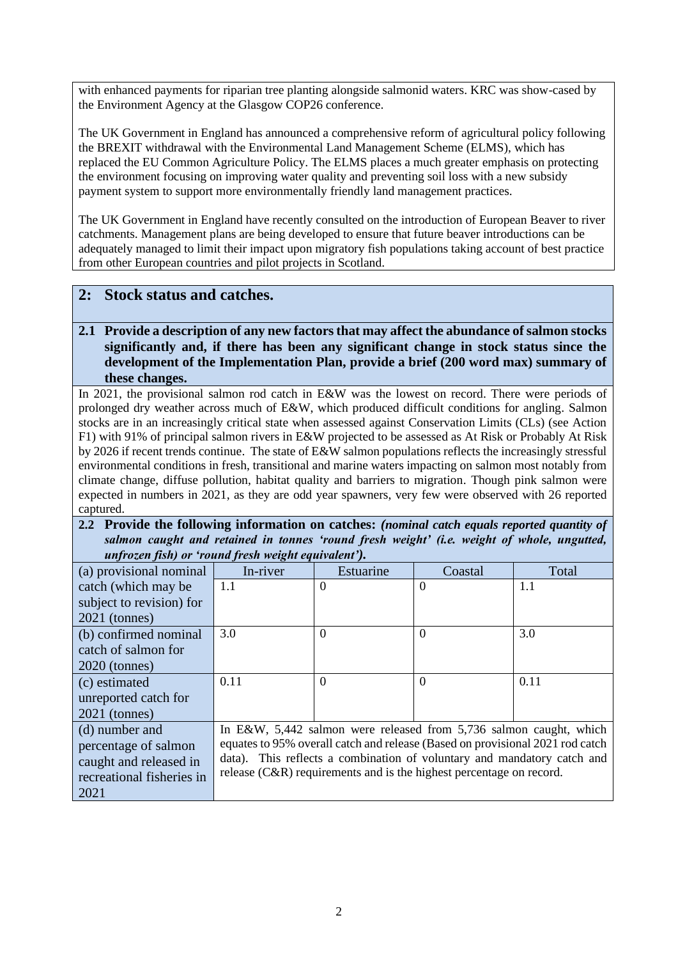with enhanced payments for riparian tree planting alongside salmonid waters. KRC was show-cased by the Environment Agency at the Glasgow COP26 conference.

The UK Government in England has announced a comprehensive reform of agricultural policy following the BREXIT withdrawal with the Environmental Land Management Scheme (ELMS), which has replaced the EU Common Agriculture Policy. The ELMS places a much greater emphasis on protecting the environment focusing on improving water quality and preventing soil loss with a new subsidy payment system to support more environmentally friendly land management practices.

The UK Government in England have recently consulted on the introduction of European Beaver to river catchments. Management plans are being developed to ensure that future beaver introductions can be adequately managed to limit their impact upon migratory fish populations taking account of best practice from other European countries and pilot projects in Scotland.

## **2: Stock status and catches.**

### **2.1 Provide a description of any new factors that may affect the abundance of salmon stocks significantly and, if there has been any significant change in stock status since the development of the Implementation Plan, provide a brief (200 word max) summary of these changes.**

In 2021, the provisional salmon rod catch in E&W was the lowest on record. There were periods of prolonged dry weather across much of E&W, which produced difficult conditions for angling. Salmon stocks are in an increasingly critical state when assessed against Conservation Limits (CLs) (see Action F1) with 91% of principal salmon rivers in E&W projected to be assessed as At Risk or Probably At Risk by 2026 if recent trends continue. The state of E&W salmon populations reflects the increasingly stressful environmental conditions in fresh, transitional and marine waters impacting on salmon most notably from climate change, diffuse pollution, habitat quality and barriers to migration. Though pink salmon were expected in numbers in 2021, as they are odd year spawners, very few were observed with 26 reported captured.

**2.2 Provide the following information on catches:** *(nominal catch equals reported quantity of salmon caught and retained in tonnes 'round fresh weight' (i.e. weight of whole, ungutted, unfrozen fish) or 'round fresh weight equivalent').*

| (a) provisional nominal   | In-river                                                                                                                                         | Estuarine                                                          | Coastal  | Total |
|---------------------------|--------------------------------------------------------------------------------------------------------------------------------------------------|--------------------------------------------------------------------|----------|-------|
| catch (which may be       | 1.1                                                                                                                                              | $\Omega$                                                           | $\theta$ | 1.1   |
| subject to revision) for  |                                                                                                                                                  |                                                                    |          |       |
| $2021$ (tonnes)           |                                                                                                                                                  |                                                                    |          |       |
| (b) confirmed nominal     | 3.0                                                                                                                                              | $\theta$                                                           | $\Omega$ | 3.0   |
| catch of salmon for       |                                                                                                                                                  |                                                                    |          |       |
| $2020$ (tonnes)           |                                                                                                                                                  |                                                                    |          |       |
| (c) estimated             | 0.11                                                                                                                                             | $\Omega$                                                           | $\Omega$ | 0.11  |
| unreported catch for      |                                                                                                                                                  |                                                                    |          |       |
| $2021$ (tonnes)           |                                                                                                                                                  |                                                                    |          |       |
| (d) number and            |                                                                                                                                                  | In E&W, 5,442 salmon were released from 5,736 salmon caught, which |          |       |
| percentage of salmon      | equates to 95% overall catch and release (Based on provisional 2021 rod catch                                                                    |                                                                    |          |       |
| caught and released in    | data). This reflects a combination of voluntary and mandatory catch and<br>release $(C&R)$ requirements and is the highest percentage on record. |                                                                    |          |       |
| recreational fisheries in |                                                                                                                                                  |                                                                    |          |       |
| 2021                      |                                                                                                                                                  |                                                                    |          |       |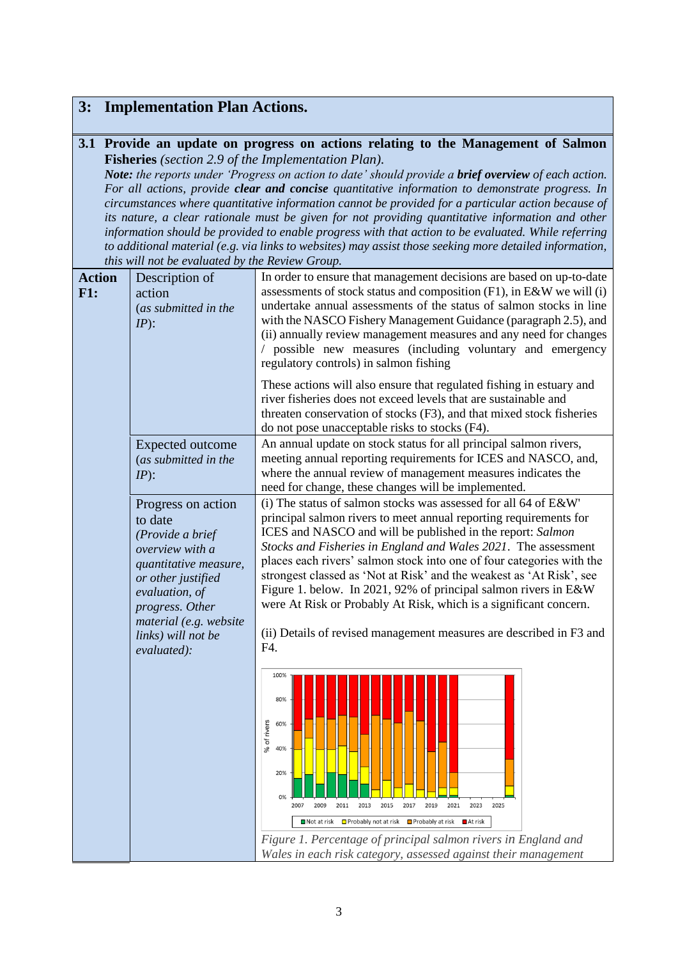# **3: Implementation Plan Actions.**

### **3.1 Provide an update on progress on actions relating to the Management of Salmon Fisheries** *(section 2.9 of the Implementation Plan).*

*Note: the reports under 'Progress on action to date' should provide a brief overview of each action. For all actions, provide clear and concise quantitative information to demonstrate progress. In circumstances where quantitative information cannot be provided for a particular action because of its nature, a clear rationale must be given for not providing quantitative information and other information should be provided to enable progress with that action to be evaluated. While referring to additional material (e.g. via links to websites) may assist those seeking more detailed information, this will not be evaluated by the Review Group.*

| <b>Action</b><br>F1: | Description of<br>action<br>(as submitted in the<br>$IP$ :                                                                                                                                                              | In order to ensure that management decisions are based on up-to-date<br>assessments of stock status and composition (F1), in E&W we will (i)<br>undertake annual assessments of the status of salmon stocks in line<br>with the NASCO Fishery Management Guidance (paragraph 2.5), and<br>(ii) annually review management measures and any need for changes<br>/ possible new measures (including voluntary and emergency<br>regulatory controls) in salmon fishing<br>These actions will also ensure that regulated fishing in estuary and<br>river fisheries does not exceed levels that are sustainable and<br>threaten conservation of stocks (F3), and that mixed stock fisheries<br>do not pose unacceptable risks to stocks (F4).                                       |  |
|----------------------|-------------------------------------------------------------------------------------------------------------------------------------------------------------------------------------------------------------------------|--------------------------------------------------------------------------------------------------------------------------------------------------------------------------------------------------------------------------------------------------------------------------------------------------------------------------------------------------------------------------------------------------------------------------------------------------------------------------------------------------------------------------------------------------------------------------------------------------------------------------------------------------------------------------------------------------------------------------------------------------------------------------------|--|
|                      | Expected outcome<br>(as submitted in the<br>$IP$ :                                                                                                                                                                      | An annual update on stock status for all principal salmon rivers,<br>meeting annual reporting requirements for ICES and NASCO, and,<br>where the annual review of management measures indicates the<br>need for change, these changes will be implemented.                                                                                                                                                                                                                                                                                                                                                                                                                                                                                                                     |  |
|                      | Progress on action<br>to date<br>(Provide a brief<br>overview with a<br>quantitative measure,<br>or other justified<br>evaluation, of<br>progress. Other<br>material (e.g. website<br>links) will not be<br>evaluated): | (i) The status of salmon stocks was assessed for all 64 of E&W'<br>principal salmon rivers to meet annual reporting requirements for<br>ICES and NASCO and will be published in the report: Salmon<br>Stocks and Fisheries in England and Wales 2021. The assessment<br>places each rivers' salmon stock into one of four categories with the<br>strongest classed as 'Not at Risk' and the weakest as 'At Risk', see<br>Figure 1. below. In 2021, 92% of principal salmon rivers in E&W<br>were At Risk or Probably At Risk, which is a significant concern.<br>(ii) Details of revised management measures are described in F3 and<br>F4.<br>100%<br>80%<br>% of rivers<br>60%<br>40%<br>20%<br>2019<br>2021<br>2023<br>2025<br>2007<br>2009<br>2011<br>2013<br>2015<br>2017 |  |
|                      |                                                                                                                                                                                                                         | ■ Not at risk ■ Probably not at risk ■ Probably at risk<br>At risk<br>Figure 1. Percentage of principal salmon rivers in England and<br>Wales in each risk category, assessed against their management                                                                                                                                                                                                                                                                                                                                                                                                                                                                                                                                                                         |  |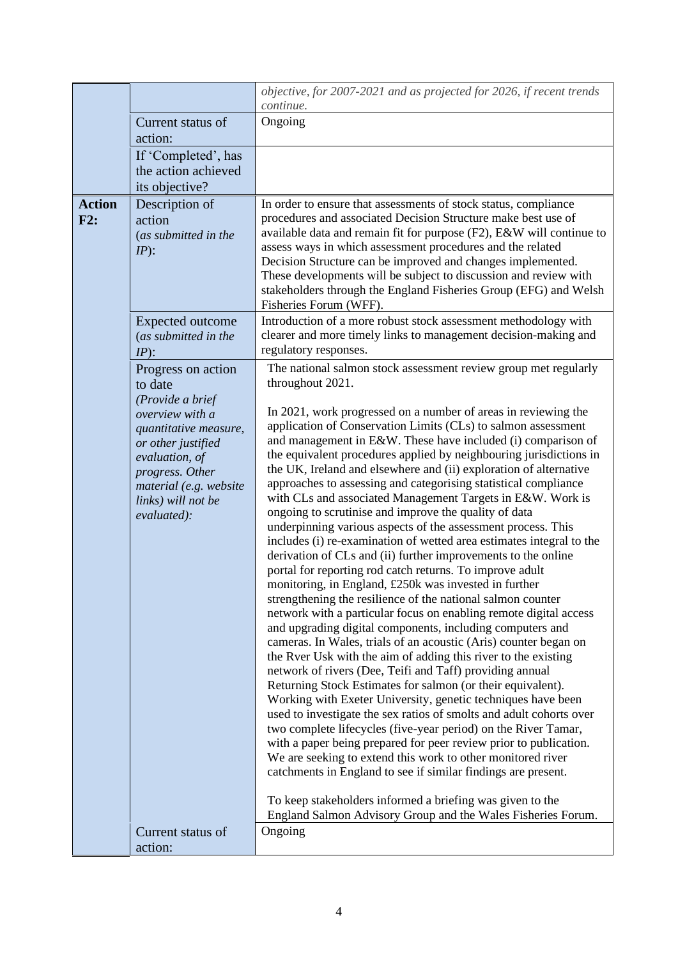|                      |                                                                                                                                                                                                                         | objective, for 2007-2021 and as projected for 2026, if recent trends<br>continue.                                                                                                                                                                                                                                                                                                                                                                                                                                                                                                                                                                                                                                                                                                                                                                                                                                                                                                                                                                                                                                                                                                                                                                                                                                                       |
|----------------------|-------------------------------------------------------------------------------------------------------------------------------------------------------------------------------------------------------------------------|-----------------------------------------------------------------------------------------------------------------------------------------------------------------------------------------------------------------------------------------------------------------------------------------------------------------------------------------------------------------------------------------------------------------------------------------------------------------------------------------------------------------------------------------------------------------------------------------------------------------------------------------------------------------------------------------------------------------------------------------------------------------------------------------------------------------------------------------------------------------------------------------------------------------------------------------------------------------------------------------------------------------------------------------------------------------------------------------------------------------------------------------------------------------------------------------------------------------------------------------------------------------------------------------------------------------------------------------|
|                      | Current status of<br>action:                                                                                                                                                                                            | Ongoing                                                                                                                                                                                                                                                                                                                                                                                                                                                                                                                                                                                                                                                                                                                                                                                                                                                                                                                                                                                                                                                                                                                                                                                                                                                                                                                                 |
|                      | If 'Completed', has<br>the action achieved<br>its objective?                                                                                                                                                            |                                                                                                                                                                                                                                                                                                                                                                                                                                                                                                                                                                                                                                                                                                                                                                                                                                                                                                                                                                                                                                                                                                                                                                                                                                                                                                                                         |
| <b>Action</b><br>F2: | Description of<br>action<br>(as submitted in the<br>$IP$ :                                                                                                                                                              | In order to ensure that assessments of stock status, compliance<br>procedures and associated Decision Structure make best use of<br>available data and remain fit for purpose (F2), E&W will continue to<br>assess ways in which assessment procedures and the related<br>Decision Structure can be improved and changes implemented.<br>These developments will be subject to discussion and review with<br>stakeholders through the England Fisheries Group (EFG) and Welsh<br>Fisheries Forum (WFF).                                                                                                                                                                                                                                                                                                                                                                                                                                                                                                                                                                                                                                                                                                                                                                                                                                 |
|                      | <b>Expected outcome</b><br>(as submitted in the<br>$IP$ :                                                                                                                                                               | Introduction of a more robust stock assessment methodology with<br>clearer and more timely links to management decision-making and<br>regulatory responses.                                                                                                                                                                                                                                                                                                                                                                                                                                                                                                                                                                                                                                                                                                                                                                                                                                                                                                                                                                                                                                                                                                                                                                             |
|                      | Progress on action<br>to date<br>(Provide a brief<br>overview with a<br>quantitative measure,<br>or other justified<br>evaluation, of<br>progress. Other<br>material (e.g. website<br>links) will not be<br>evaluated): | The national salmon stock assessment review group met regularly<br>throughout 2021.<br>In 2021, work progressed on a number of areas in reviewing the<br>application of Conservation Limits (CLs) to salmon assessment<br>and management in E&W. These have included (i) comparison of<br>the equivalent procedures applied by neighbouring jurisdictions in<br>the UK, Ireland and elsewhere and (ii) exploration of alternative<br>approaches to assessing and categorising statistical compliance<br>with CLs and associated Management Targets in E&W. Work is<br>ongoing to scrutinise and improve the quality of data                                                                                                                                                                                                                                                                                                                                                                                                                                                                                                                                                                                                                                                                                                             |
|                      |                                                                                                                                                                                                                         | underpinning various aspects of the assessment process. This<br>includes (i) re-examination of wetted area estimates integral to the<br>derivation of CLs and (ii) further improvements to the online<br>portal for reporting rod catch returns. To improve adult<br>monitoring, in England, £250k was invested in further<br>strengthening the resilience of the national salmon counter<br>network with a particular focus on enabling remote digital access<br>and upgrading digital components, including computers and<br>cameras. In Wales, trials of an acoustic (Aris) counter began on<br>the Rver Usk with the aim of adding this river to the existing<br>network of rivers (Dee, Teifi and Taff) providing annual<br>Returning Stock Estimates for salmon (or their equivalent).<br>Working with Exeter University, genetic techniques have been<br>used to investigate the sex ratios of smolts and adult cohorts over<br>two complete lifecycles (five-year period) on the River Tamar,<br>with a paper being prepared for peer review prior to publication.<br>We are seeking to extend this work to other monitored river<br>catchments in England to see if similar findings are present.<br>To keep stakeholders informed a briefing was given to the<br>England Salmon Advisory Group and the Wales Fisheries Forum. |
|                      | Current status of<br>action:                                                                                                                                                                                            | Ongoing                                                                                                                                                                                                                                                                                                                                                                                                                                                                                                                                                                                                                                                                                                                                                                                                                                                                                                                                                                                                                                                                                                                                                                                                                                                                                                                                 |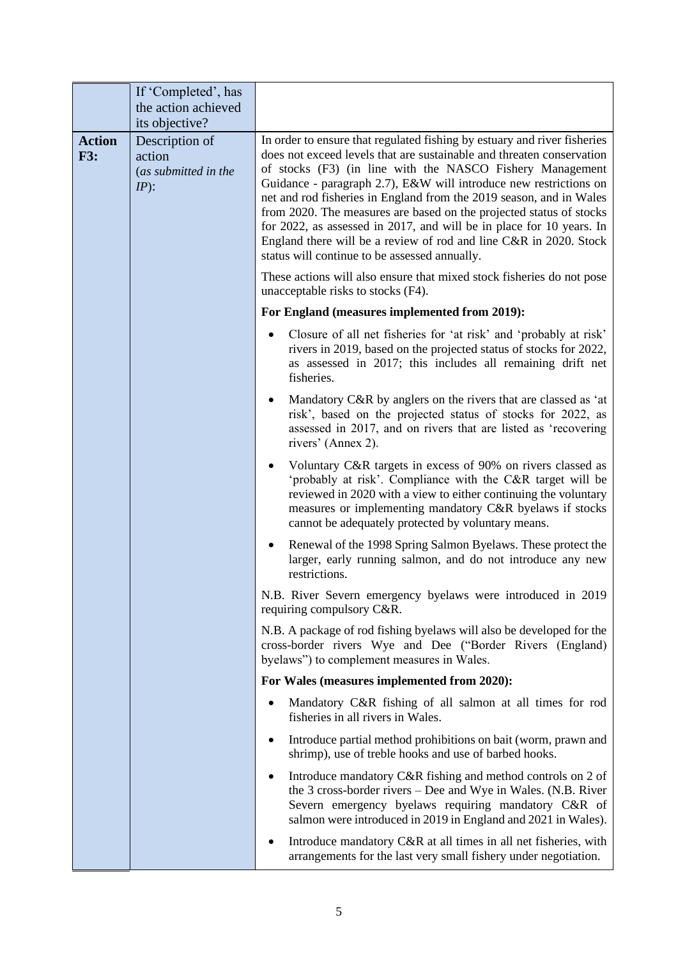|                             | If 'Completed', has<br>the action achieved                                   |                                                                                                                                                                                                                                                                                                                                                                                                                                                                                                                                                                                |
|-----------------------------|------------------------------------------------------------------------------|--------------------------------------------------------------------------------------------------------------------------------------------------------------------------------------------------------------------------------------------------------------------------------------------------------------------------------------------------------------------------------------------------------------------------------------------------------------------------------------------------------------------------------------------------------------------------------|
| <b>Action</b><br><b>F3:</b> | its objective?<br>Description of<br>action<br>(as submitted in the<br>$IP$ : | In order to ensure that regulated fishing by estuary and river fisheries<br>does not exceed levels that are sustainable and threaten conservation<br>of stocks (F3) (in line with the NASCO Fishery Management<br>Guidance - paragraph 2.7), E&W will introduce new restrictions on<br>net and rod fisheries in England from the 2019 season, and in Wales<br>from 2020. The measures are based on the projected status of stocks<br>for 2022, as assessed in 2017, and will be in place for 10 years. In<br>England there will be a review of rod and line C&R in 2020. Stock |
|                             |                                                                              | status will continue to be assessed annually.<br>These actions will also ensure that mixed stock fisheries do not pose<br>unacceptable risks to stocks (F4).                                                                                                                                                                                                                                                                                                                                                                                                                   |
|                             |                                                                              | For England (measures implemented from 2019):                                                                                                                                                                                                                                                                                                                                                                                                                                                                                                                                  |
|                             |                                                                              | Closure of all net fisheries for 'at risk' and 'probably at risk'<br>rivers in 2019, based on the projected status of stocks for 2022,<br>as assessed in 2017; this includes all remaining drift net<br>fisheries.                                                                                                                                                                                                                                                                                                                                                             |
|                             |                                                                              | Mandatory C&R by anglers on the rivers that are classed as 'at<br>٠<br>risk', based on the projected status of stocks for 2022, as<br>assessed in 2017, and on rivers that are listed as 'recovering<br>rivers' (Annex 2).                                                                                                                                                                                                                                                                                                                                                     |
|                             |                                                                              | Voluntary C&R targets in excess of 90% on rivers classed as<br>'probably at risk'. Compliance with the C&R target will be<br>reviewed in 2020 with a view to either continuing the voluntary<br>measures or implementing mandatory C&R byelaws if stocks<br>cannot be adequately protected by voluntary means.                                                                                                                                                                                                                                                                 |
|                             |                                                                              | Renewal of the 1998 Spring Salmon Byelaws. These protect the<br>larger, early running salmon, and do not introduce any new<br>restrictions.                                                                                                                                                                                                                                                                                                                                                                                                                                    |
|                             |                                                                              | N.B. River Severn emergency byelaws were introduced in 2019<br>requiring compulsory C&R.                                                                                                                                                                                                                                                                                                                                                                                                                                                                                       |
|                             |                                                                              | N.B. A package of rod fishing byelaws will also be developed for the<br>cross-border rivers Wye and Dee ("Border Rivers (England)<br>byelaws") to complement measures in Wales.                                                                                                                                                                                                                                                                                                                                                                                                |
|                             |                                                                              | For Wales (measures implemented from 2020):                                                                                                                                                                                                                                                                                                                                                                                                                                                                                                                                    |
|                             |                                                                              | Mandatory C&R fishing of all salmon at all times for rod<br>fisheries in all rivers in Wales.                                                                                                                                                                                                                                                                                                                                                                                                                                                                                  |
|                             |                                                                              | Introduce partial method prohibitions on bait (worm, prawn and<br>٠<br>shrimp), use of treble hooks and use of barbed hooks.                                                                                                                                                                                                                                                                                                                                                                                                                                                   |
|                             |                                                                              | Introduce mandatory C&R fishing and method controls on 2 of<br>٠<br>the 3 cross-border rivers – Dee and Wye in Wales. (N.B. River<br>Severn emergency byelaws requiring mandatory C&R of<br>salmon were introduced in 2019 in England and 2021 in Wales).                                                                                                                                                                                                                                                                                                                      |
|                             |                                                                              | Introduce mandatory C&R at all times in all net fisheries, with<br>٠<br>arrangements for the last very small fishery under negotiation.                                                                                                                                                                                                                                                                                                                                                                                                                                        |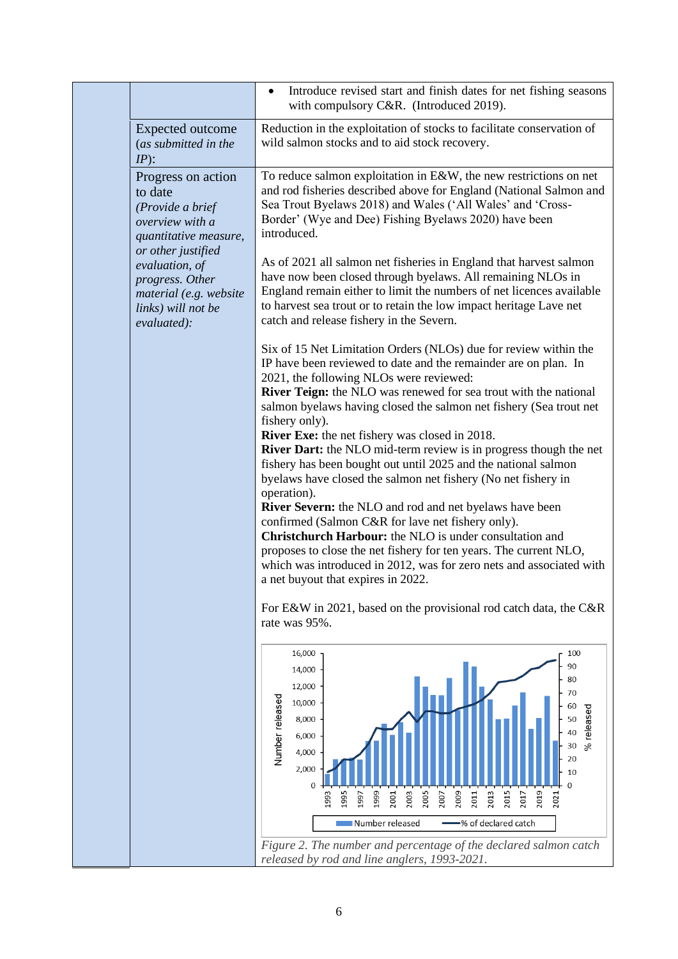|                                                                                                                     | Introduce revised start and finish dates for net fishing seasons<br>٠<br>with compulsory C&R. (Introduced 2019).                                                                                                                                                                                                                                                                                                                                                                                                                                                                                                                                                                                                                                                                                                                                                                                                                                                                                                                                                                                   |
|---------------------------------------------------------------------------------------------------------------------|----------------------------------------------------------------------------------------------------------------------------------------------------------------------------------------------------------------------------------------------------------------------------------------------------------------------------------------------------------------------------------------------------------------------------------------------------------------------------------------------------------------------------------------------------------------------------------------------------------------------------------------------------------------------------------------------------------------------------------------------------------------------------------------------------------------------------------------------------------------------------------------------------------------------------------------------------------------------------------------------------------------------------------------------------------------------------------------------------|
| <b>Expected outcome</b><br>(as submitted in the<br>$IP$ :                                                           | Reduction in the exploitation of stocks to facilitate conservation of<br>wild salmon stocks and to aid stock recovery.                                                                                                                                                                                                                                                                                                                                                                                                                                                                                                                                                                                                                                                                                                                                                                                                                                                                                                                                                                             |
| Progress on action<br>to date<br>(Provide a brief<br>overview with a<br>quantitative measure,<br>or other justified | To reduce salmon exploitation in $E&W$ , the new restrictions on net<br>and rod fisheries described above for England (National Salmon and<br>Sea Trout Byelaws 2018) and Wales ('All Wales' and 'Cross-<br>Border' (Wye and Dee) Fishing Byelaws 2020) have been<br>introduced.                                                                                                                                                                                                                                                                                                                                                                                                                                                                                                                                                                                                                                                                                                                                                                                                                   |
| evaluation, of<br>progress. Other<br>material (e.g. website<br>links) will not be<br>evaluated):                    | As of 2021 all salmon net fisheries in England that harvest salmon<br>have now been closed through byelaws. All remaining NLOs in<br>England remain either to limit the numbers of net licences available<br>to harvest sea trout or to retain the low impact heritage Lave net<br>catch and release fishery in the Severn.                                                                                                                                                                                                                                                                                                                                                                                                                                                                                                                                                                                                                                                                                                                                                                        |
|                                                                                                                     | Six of 15 Net Limitation Orders (NLOs) due for review within the<br>IP have been reviewed to date and the remainder are on plan. In<br>2021, the following NLOs were reviewed:<br><b>River Teign:</b> the NLO was renewed for sea trout with the national<br>salmon byelaws having closed the salmon net fishery (Sea trout net<br>fishery only).<br><b>River Exe:</b> the net fishery was closed in 2018.<br><b>River Dart:</b> the NLO mid-term review is in progress though the net<br>fishery has been bought out until 2025 and the national salmon<br>byelaws have closed the salmon net fishery (No net fishery in<br>operation).<br>River Severn: the NLO and rod and net byelaws have been<br>confirmed (Salmon C&R for lave net fishery only).<br><b>Christchurch Harbour:</b> the NLO is under consultation and<br>proposes to close the net fishery for ten years. The current NLO,<br>which was introduced in 2012, was for zero nets and associated with<br>a net buyout that expires in 2022.<br>For E&W in 2021, based on the provisional rod catch data, the C&R<br>rate was 95%. |
|                                                                                                                     | 16,000<br>100<br>90<br>14,000<br>80<br>12,000<br>70<br>Number released<br>10,000<br>60<br>$%$ released<br>8,000<br>50<br>40<br>6,000<br>30<br>4,000<br>20<br>2,000<br>10<br>$\mathbf{0}$<br>2013<br>2015<br>2019<br>1999<br>2003<br>2005<br>2009<br>1995<br>2011<br>2007<br>2017<br>1993<br>2001<br>2021<br>1997<br>Number released<br>% of declared catch<br>Figure 2. The number and percentage of the declared salmon catch<br>released by rod and line anglers, 1993-2021.                                                                                                                                                                                                                                                                                                                                                                                                                                                                                                                                                                                                                     |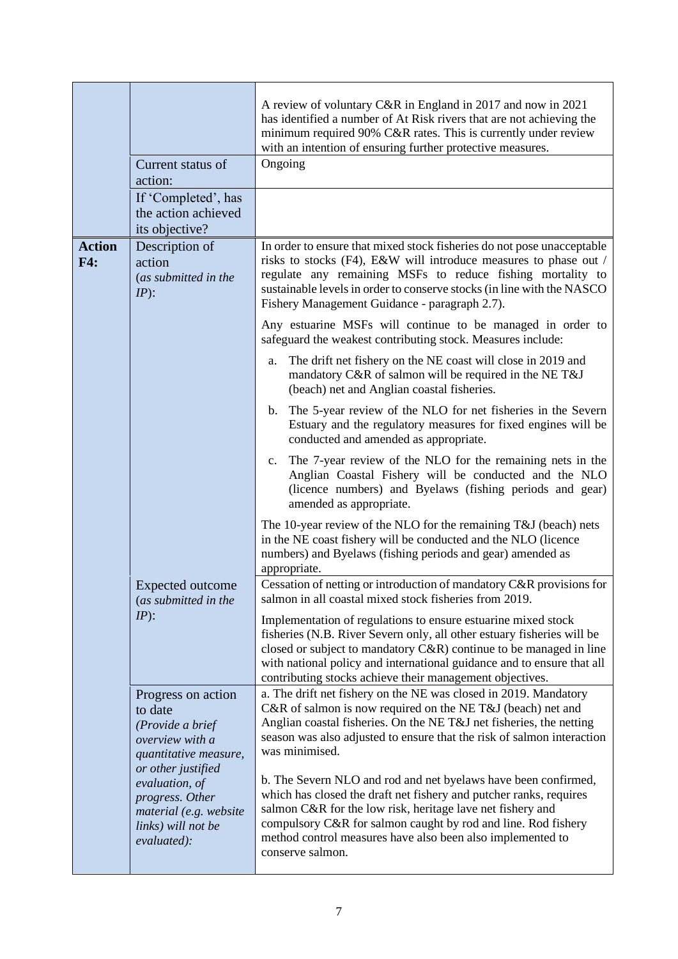|                      | Current status of<br>action:<br>If 'Completed', has<br>the action achieved<br>its objective?                                                                                                                            | A review of voluntary C&R in England in 2017 and now in 2021<br>has identified a number of At Risk rivers that are not achieving the<br>minimum required 90% C&R rates. This is currently under review<br>with an intention of ensuring further protective measures.<br>Ongoing                                                                                                                                                                                                                                                                                                                                                                |
|----------------------|-------------------------------------------------------------------------------------------------------------------------------------------------------------------------------------------------------------------------|------------------------------------------------------------------------------------------------------------------------------------------------------------------------------------------------------------------------------------------------------------------------------------------------------------------------------------------------------------------------------------------------------------------------------------------------------------------------------------------------------------------------------------------------------------------------------------------------------------------------------------------------|
| <b>Action</b><br>F4: | Description of<br>action<br>(as submitted in the<br>$IP$ :                                                                                                                                                              | In order to ensure that mixed stock fisheries do not pose unacceptable<br>risks to stocks (F4), E&W will introduce measures to phase out /<br>regulate any remaining MSFs to reduce fishing mortality to<br>sustainable levels in order to conserve stocks (in line with the NASCO<br>Fishery Management Guidance - paragraph 2.7).<br>Any estuarine MSFs will continue to be managed in order to<br>safeguard the weakest contributing stock. Measures include:<br>The drift net fishery on the NE coast will close in 2019 and<br>a.<br>mandatory C&R of salmon will be required in the NE T&J<br>(beach) net and Anglian coastal fisheries. |
|                      |                                                                                                                                                                                                                         | The 5-year review of the NLO for net fisheries in the Severn<br>b.<br>Estuary and the regulatory measures for fixed engines will be<br>conducted and amended as appropriate.<br>The 7-year review of the NLO for the remaining nets in the<br>$c_{\cdot}$<br>Anglian Coastal Fishery will be conducted and the NLO<br>(licence numbers) and Byelaws (fishing periods and gear)<br>amended as appropriate.<br>The 10-year review of the NLO for the remaining T&J (beach) nets<br>in the NE coast fishery will be conducted and the NLO (licence<br>numbers) and Byelaws (fishing periods and gear) amended as<br>appropriate.                  |
|                      | Expected outcome<br>(as submitted in the<br>$IP$ :                                                                                                                                                                      | Cessation of netting or introduction of mandatory C&R provisions for<br>salmon in all coastal mixed stock fisheries from 2019.<br>Implementation of regulations to ensure estuarine mixed stock<br>fisheries (N.B. River Severn only, all other estuary fisheries will be<br>closed or subject to mandatory $C\&R$ ) continue to be managed in line<br>with national policy and international guidance and to ensure that all<br>contributing stocks achieve their management objectives.<br>a. The drift net fishery on the NE was closed in 2019. Mandatory                                                                                  |
|                      | Progress on action<br>to date<br>(Provide a brief<br>overview with a<br>quantitative measure,<br>or other justified<br>evaluation, of<br>progress. Other<br>material (e.g. website<br>links) will not be<br>evaluated): | C&R of salmon is now required on the NE T&J (beach) net and<br>Anglian coastal fisheries. On the NE T&J net fisheries, the netting<br>season was also adjusted to ensure that the risk of salmon interaction<br>was minimised.<br>b. The Severn NLO and rod and net byelaws have been confirmed,<br>which has closed the draft net fishery and putcher ranks, requires<br>salmon C&R for the low risk, heritage lave net fishery and<br>compulsory C&R for salmon caught by rod and line. Rod fishery<br>method control measures have also been also implemented to<br>conserve salmon.                                                        |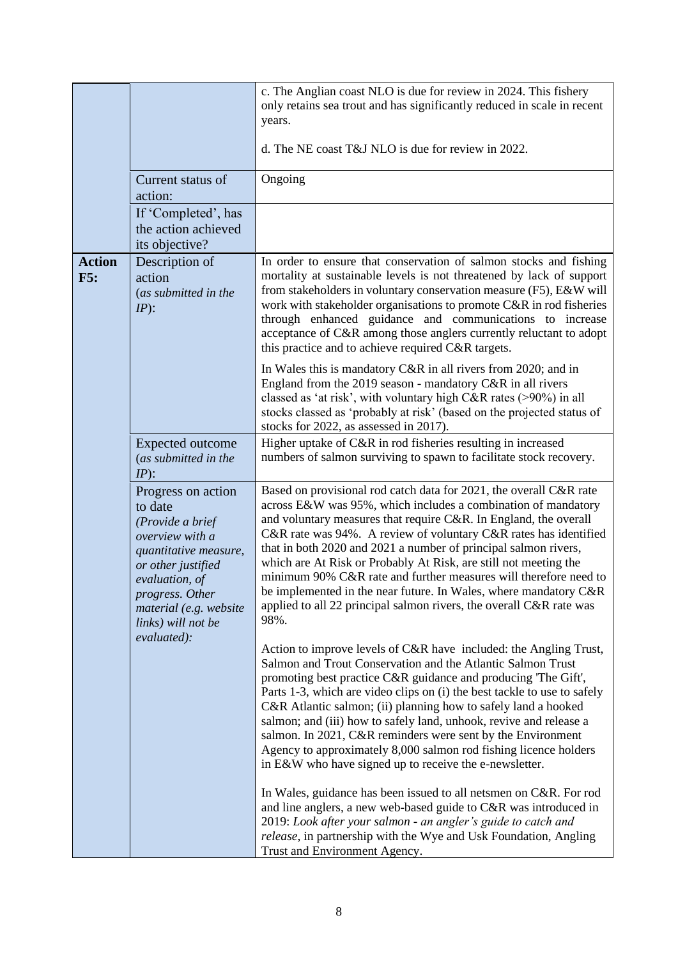|                      |                                                                                                                                                                                                          | c. The Anglian coast NLO is due for review in 2024. This fishery<br>only retains sea trout and has significantly reduced in scale in recent<br>years.<br>d. The NE coast T&J NLO is due for review in 2022.                                                                                                                                                                                                                                                                                                                                                                                                                               |
|----------------------|----------------------------------------------------------------------------------------------------------------------------------------------------------------------------------------------------------|-------------------------------------------------------------------------------------------------------------------------------------------------------------------------------------------------------------------------------------------------------------------------------------------------------------------------------------------------------------------------------------------------------------------------------------------------------------------------------------------------------------------------------------------------------------------------------------------------------------------------------------------|
|                      | Current status of<br>action:                                                                                                                                                                             | Ongoing                                                                                                                                                                                                                                                                                                                                                                                                                                                                                                                                                                                                                                   |
|                      | If 'Completed', has<br>the action achieved<br>its objective?                                                                                                                                             |                                                                                                                                                                                                                                                                                                                                                                                                                                                                                                                                                                                                                                           |
| <b>Action</b><br>F5: | Description of<br>action<br>(as submitted in the<br>$IP$ :                                                                                                                                               | In order to ensure that conservation of salmon stocks and fishing<br>mortality at sustainable levels is not threatened by lack of support<br>from stakeholders in voluntary conservation measure (F5), E&W will<br>work with stakeholder organisations to promote C&R in rod fisheries<br>through enhanced guidance and communications to increase<br>acceptance of C&R among those anglers currently reluctant to adopt<br>this practice and to achieve required C&R targets.                                                                                                                                                            |
|                      |                                                                                                                                                                                                          | In Wales this is mandatory C&R in all rivers from 2020; and in<br>England from the 2019 season - mandatory C&R in all rivers<br>classed as 'at risk', with voluntary high C&R rates (>90%) in all<br>stocks classed as 'probably at risk' (based on the projected status of<br>stocks for 2022, as assessed in 2017).                                                                                                                                                                                                                                                                                                                     |
|                      | <b>Expected outcome</b><br>(as submitted in the<br>$IP)$ :                                                                                                                                               | Higher uptake of C&R in rod fisheries resulting in increased<br>numbers of salmon surviving to spawn to facilitate stock recovery.                                                                                                                                                                                                                                                                                                                                                                                                                                                                                                        |
|                      | Progress on action<br>to date<br>(Provide a brief<br>overview with a<br>quantitative measure,<br>or other justified<br>evaluation, of<br>progress. Other<br>material (e.g. website<br>links) will not be | Based on provisional rod catch data for 2021, the overall C&R rate<br>across E&W was 95%, which includes a combination of mandatory<br>and voluntary measures that require C&R. In England, the overall<br>C&R rate was 94%. A review of voluntary C&R rates has identified<br>that in both 2020 and 2021 a number of principal salmon rivers,<br>which are At Risk or Probably At Risk, are still not meeting the<br>minimum 90% C&R rate and further measures will therefore need to<br>be implemented in the near future. In Wales, where mandatory C&R<br>applied to all 22 principal salmon rivers, the overall C&R rate was<br>98%. |
|                      | evaluated):                                                                                                                                                                                              | Action to improve levels of C&R have included: the Angling Trust,<br>Salmon and Trout Conservation and the Atlantic Salmon Trust<br>promoting best practice C&R guidance and producing 'The Gift',<br>Parts 1-3, which are video clips on (i) the best tackle to use to safely<br>C&R Atlantic salmon; (ii) planning how to safely land a hooked<br>salmon; and (iii) how to safely land, unhook, revive and release a<br>salmon. In 2021, C&R reminders were sent by the Environment<br>Agency to approximately 8,000 salmon rod fishing licence holders<br>in E&W who have signed up to receive the e-newsletter.                       |
|                      |                                                                                                                                                                                                          | In Wales, guidance has been issued to all netsmen on C&R. For rod<br>and line anglers, a new web-based guide to C&R was introduced in<br>2019: Look after your salmon - an angler's guide to catch and<br>release, in partnership with the Wye and Usk Foundation, Angling<br>Trust and Environment Agency.                                                                                                                                                                                                                                                                                                                               |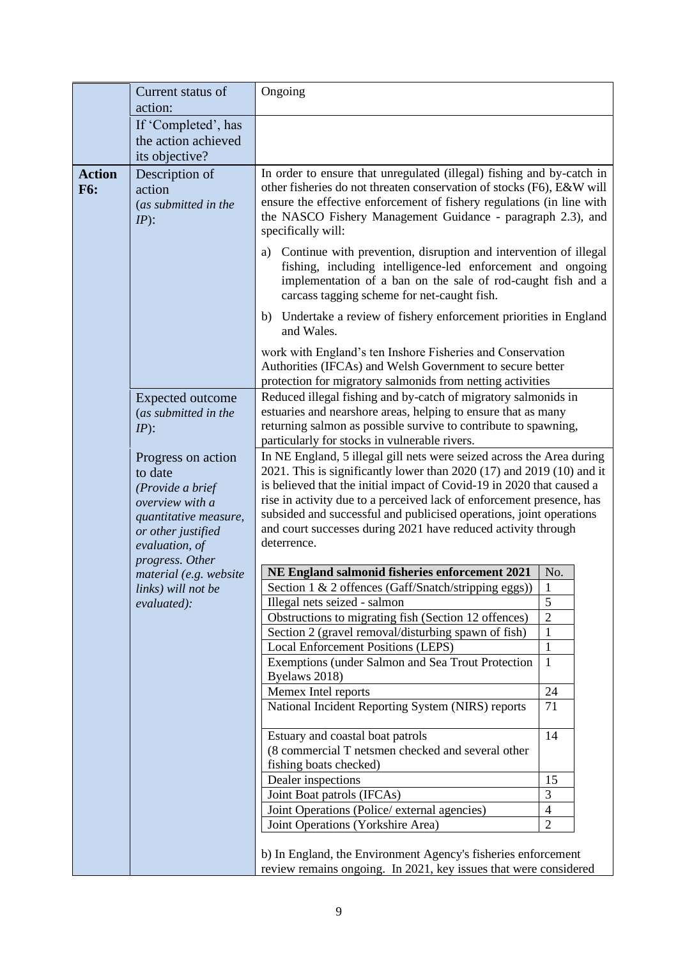|                             | Current status of<br>action:                                                                                                                             | Ongoing                                                                                                                                                                                                                                                                                                                                                                                                                                                   |                              |
|-----------------------------|----------------------------------------------------------------------------------------------------------------------------------------------------------|-----------------------------------------------------------------------------------------------------------------------------------------------------------------------------------------------------------------------------------------------------------------------------------------------------------------------------------------------------------------------------------------------------------------------------------------------------------|------------------------------|
|                             | If 'Completed', has<br>the action achieved<br>its objective?                                                                                             |                                                                                                                                                                                                                                                                                                                                                                                                                                                           |                              |
| <b>Action</b><br><b>F6:</b> | Description of<br>action<br>(as submitted in the<br>$IP$ :                                                                                               | In order to ensure that unregulated (illegal) fishing and by-catch in<br>other fisheries do not threaten conservation of stocks (F6), E&W will<br>ensure the effective enforcement of fishery regulations (in line with<br>the NASCO Fishery Management Guidance - paragraph 2.3), and<br>specifically will:                                                                                                                                              |                              |
|                             |                                                                                                                                                          | Continue with prevention, disruption and intervention of illegal<br>a)<br>fishing, including intelligence-led enforcement and ongoing<br>implementation of a ban on the sale of rod-caught fish and a<br>carcass tagging scheme for net-caught fish.                                                                                                                                                                                                      |                              |
|                             |                                                                                                                                                          | b) Undertake a review of fishery enforcement priorities in England<br>and Wales.                                                                                                                                                                                                                                                                                                                                                                          |                              |
|                             |                                                                                                                                                          | work with England's ten Inshore Fisheries and Conservation<br>Authorities (IFCAs) and Welsh Government to secure better<br>protection for migratory salmonids from netting activities                                                                                                                                                                                                                                                                     |                              |
|                             | <b>Expected outcome</b><br>(as submitted in the<br>$IP$ :                                                                                                | Reduced illegal fishing and by-catch of migratory salmonids in<br>estuaries and nearshore areas, helping to ensure that as many<br>returning salmon as possible survive to contribute to spawning,<br>particularly for stocks in vulnerable rivers.                                                                                                                                                                                                       |                              |
|                             | Progress on action<br>to date<br>(Provide a brief<br>overview with a<br>quantitative measure,<br>or other justified<br>evaluation, of<br>progress. Other | In NE England, 5 illegal gill nets were seized across the Area during<br>2021. This is significantly lower than $2020(17)$ and $2019(10)$ and it<br>is believed that the initial impact of Covid-19 in 2020 that caused a<br>rise in activity due to a perceived lack of enforcement presence, has<br>subsided and successful and publicised operations, joint operations<br>and court successes during 2021 have reduced activity through<br>deterrence. |                              |
|                             | material (e.g. website                                                                                                                                   | NE England salmonid fisheries enforcement 2021                                                                                                                                                                                                                                                                                                                                                                                                            | No.                          |
|                             | links) will not be                                                                                                                                       | Section 1 & 2 offences (Gaff/Snatch/stripping eggs))                                                                                                                                                                                                                                                                                                                                                                                                      | $\mathbf{1}$                 |
|                             | evaluated):                                                                                                                                              | Illegal nets seized - salmon                                                                                                                                                                                                                                                                                                                                                                                                                              | 5                            |
|                             |                                                                                                                                                          | Obstructions to migrating fish (Section 12 offences)                                                                                                                                                                                                                                                                                                                                                                                                      | $\overline{2}$               |
|                             |                                                                                                                                                          | Section 2 (gravel removal/disturbing spawn of fish)                                                                                                                                                                                                                                                                                                                                                                                                       | $\mathbf{1}$                 |
|                             |                                                                                                                                                          | <b>Local Enforcement Positions (LEPS)</b><br>Exemptions (under Salmon and Sea Trout Protection                                                                                                                                                                                                                                                                                                                                                            | $\mathbf{1}$<br>$\mathbf{1}$ |
|                             |                                                                                                                                                          | Byelaws 2018)                                                                                                                                                                                                                                                                                                                                                                                                                                             |                              |
|                             |                                                                                                                                                          | Memex Intel reports                                                                                                                                                                                                                                                                                                                                                                                                                                       | 24                           |
|                             |                                                                                                                                                          | National Incident Reporting System (NIRS) reports                                                                                                                                                                                                                                                                                                                                                                                                         | 71                           |
|                             |                                                                                                                                                          | Estuary and coastal boat patrols                                                                                                                                                                                                                                                                                                                                                                                                                          | 14                           |
|                             |                                                                                                                                                          | (8 commercial T netsmen checked and several other<br>fishing boats checked)                                                                                                                                                                                                                                                                                                                                                                               |                              |
|                             |                                                                                                                                                          | Dealer inspections                                                                                                                                                                                                                                                                                                                                                                                                                                        | 15                           |
|                             |                                                                                                                                                          | Joint Boat patrols (IFCAs)                                                                                                                                                                                                                                                                                                                                                                                                                                | 3                            |
|                             |                                                                                                                                                          | Joint Operations (Police/ external agencies)                                                                                                                                                                                                                                                                                                                                                                                                              | $\overline{4}$               |
|                             |                                                                                                                                                          | Joint Operations (Yorkshire Area)                                                                                                                                                                                                                                                                                                                                                                                                                         | $\overline{2}$               |
|                             |                                                                                                                                                          | b) In England, the Environment Agency's fisheries enforcement                                                                                                                                                                                                                                                                                                                                                                                             |                              |
|                             |                                                                                                                                                          | review remains ongoing. In 2021, key issues that were considered                                                                                                                                                                                                                                                                                                                                                                                          |                              |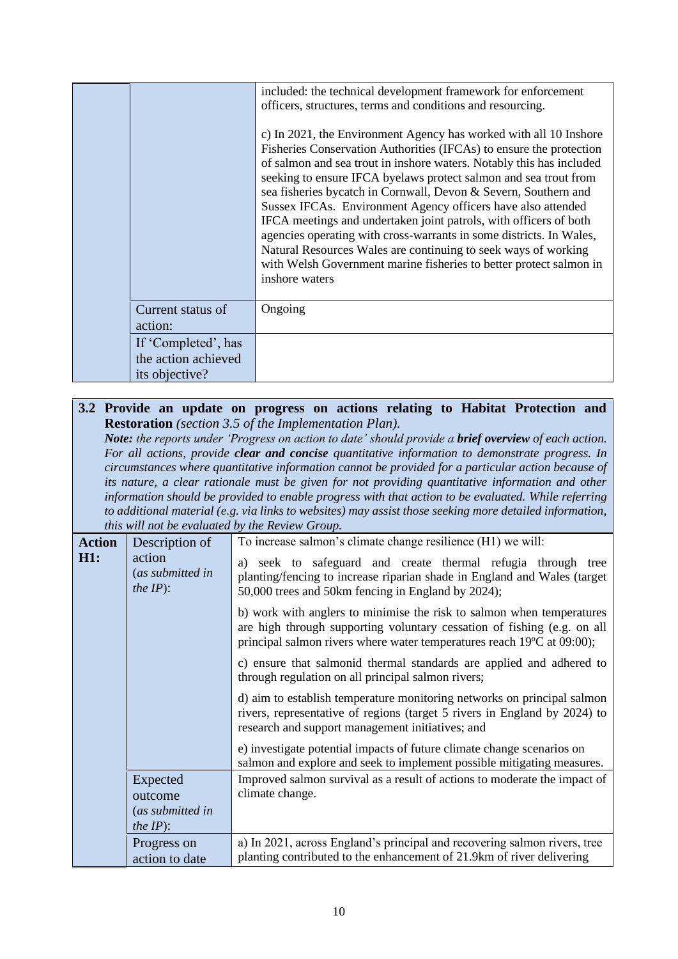|                                                              | included: the technical development framework for enforcement<br>officers, structures, terms and conditions and resourcing.<br>c) In 2021, the Environment Agency has worked with all 10 Inshore<br>Fisheries Conservation Authorities (IFCAs) to ensure the protection<br>of salmon and sea trout in inshore waters. Notably this has included<br>seeking to ensure IFCA byelaws protect salmon and sea trout from<br>sea fisheries bycatch in Cornwall, Devon & Severn, Southern and<br>Sussex IFCAs. Environment Agency officers have also attended<br>IFCA meetings and undertaken joint patrols, with officers of both<br>agencies operating with cross-warrants in some districts. In Wales,<br>Natural Resources Wales are continuing to seek ways of working<br>with Welsh Government marine fisheries to better protect salmon in<br>inshore waters |
|--------------------------------------------------------------|--------------------------------------------------------------------------------------------------------------------------------------------------------------------------------------------------------------------------------------------------------------------------------------------------------------------------------------------------------------------------------------------------------------------------------------------------------------------------------------------------------------------------------------------------------------------------------------------------------------------------------------------------------------------------------------------------------------------------------------------------------------------------------------------------------------------------------------------------------------|
| Current status of<br>action:                                 | Ongoing                                                                                                                                                                                                                                                                                                                                                                                                                                                                                                                                                                                                                                                                                                                                                                                                                                                      |
| If 'Completed', has<br>the action achieved<br>its objective? |                                                                                                                                                                                                                                                                                                                                                                                                                                                                                                                                                                                                                                                                                                                                                                                                                                                              |

## **3.2 Provide an update on progress on actions relating to Habitat Protection and Restoration** *(section 3.5 of the Implementation Plan).*

*Note: the reports under 'Progress on action to date' should provide a brief overview of each action. For all actions, provide clear and concise quantitative information to demonstrate progress. In circumstances where quantitative information cannot be provided for a particular action because of its nature, a clear rationale must be given for not providing quantitative information and other information should be provided to enable progress with that action to be evaluated. While referring to additional material (e.g. via links to websites) may assist those seeking more detailed information, this will not be evaluated by the Review Group.*

|               | <i>rius were not be cranned by the new Story</i>  |                                                                                                                                                                                                                            |
|---------------|---------------------------------------------------|----------------------------------------------------------------------------------------------------------------------------------------------------------------------------------------------------------------------------|
| <b>Action</b> | Description of                                    | To increase salmon's climate change resilience (H1) we will:                                                                                                                                                               |
| H1:           | action<br>(as submitted in<br><i>the IP</i> $)$ : | a) seek to safeguard and create thermal refugia through tree<br>planting/fencing to increase riparian shade in England and Wales (target<br>50,000 trees and 50km fencing in England by 2024);                             |
|               |                                                   | b) work with anglers to minimise the risk to salmon when temperatures<br>are high through supporting voluntary cessation of fishing (e.g. on all<br>principal salmon rivers where water temperatures reach 19°C at 09:00); |
|               |                                                   | c) ensure that salmonid thermal standards are applied and adhered to<br>through regulation on all principal salmon rivers;                                                                                                 |
|               |                                                   | d) aim to establish temperature monitoring networks on principal salmon<br>rivers, representative of regions (target 5 rivers in England by 2024) to<br>research and support management initiatives; and                   |
|               |                                                   | e) investigate potential impacts of future climate change scenarios on<br>salmon and explore and seek to implement possible mitigating measures.                                                                           |
|               | Expected<br>outcome<br>(as submitted in           | Improved salmon survival as a result of actions to moderate the impact of<br>climate change.                                                                                                                               |
|               | <i>the IP</i> ):                                  |                                                                                                                                                                                                                            |
|               | Progress on<br>action to date                     | a) In 2021, across England's principal and recovering salmon rivers, tree<br>planting contributed to the enhancement of 21.9km of river delivering                                                                         |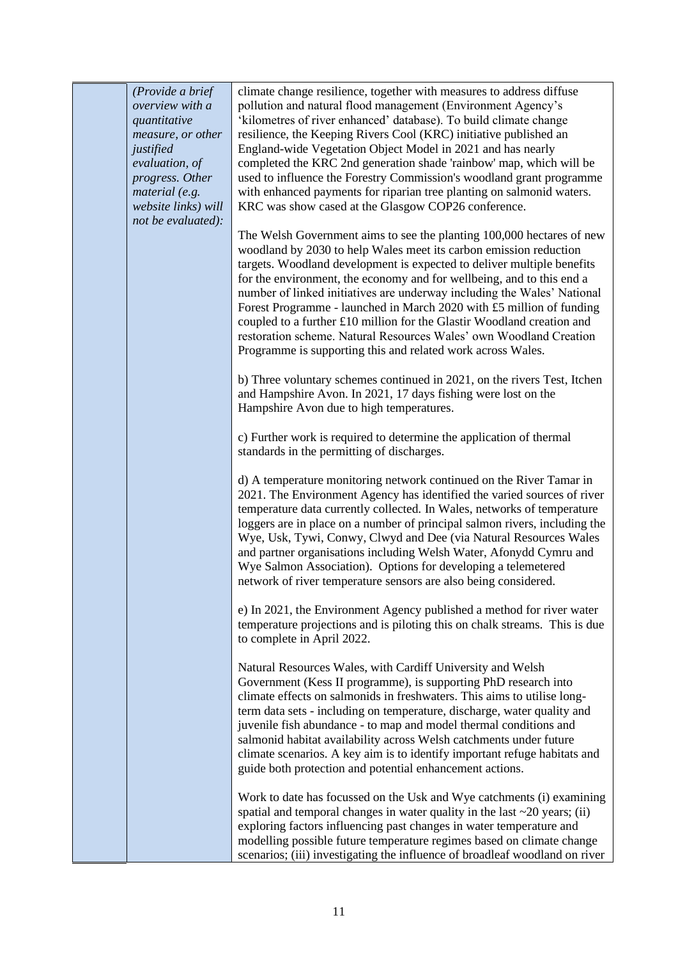*(Provide a brief overview with a quantitative measure, or other justified evaluation, of progress. Other material (e.g. website links) will not be evaluated):* climate change resilience, together with measures to address diffuse pollution and natural flood management (Environment Agency's 'kilometres of river enhanced' database). To build climate change resilience, the Keeping Rivers Cool (KRC) initiative published an England-wide Vegetation Object Model in 2021 and has nearly completed the KRC 2nd generation shade 'rainbow' map, which will be used to influence the Forestry Commission's woodland grant programme with enhanced payments for riparian tree planting on salmonid waters. KRC was show cased at the Glasgow COP26 conference. The Welsh Government aims to see the planting 100,000 hectares of new woodland by 2030 to help Wales meet its carbon emission reduction targets. Woodland development is expected to deliver multiple benefits for the environment, the economy and for wellbeing, and to this end a number of linked initiatives are underway including the Wales' National Forest Programme - launched in March 2020 with £5 million of funding coupled to a further £10 million for the Glastir Woodland creation and restoration scheme. Natural Resources Wales' own Woodland Creation Programme is supporting this and related work across Wales. b) Three voluntary schemes continued in 2021, on the rivers Test, Itchen and Hampshire Avon. In 2021, 17 days fishing were lost on the Hampshire Avon due to high temperatures. c) Further work is required to determine the application of thermal standards in the permitting of discharges. d) A temperature monitoring network continued on the River Tamar in 2021. The Environment Agency has identified the varied sources of river temperature data currently collected*.* In Wales, networks of temperature loggers are in place on a number of principal salmon rivers, including the Wye, Usk, Tywi, Conwy, Clwyd and Dee (via Natural Resources Wales and partner organisations including Welsh Water, Afonydd Cymru and Wye Salmon Association). Options for developing a telemetered network of river temperature sensors are also being considered. e) In 2021, the Environment Agency published a method for river water temperature projections and is piloting this on chalk streams. This is due to complete in April 2022. Natural Resources Wales, with Cardiff University and Welsh Government (Kess II programme), is supporting PhD research into climate effects on salmonids in freshwaters. This aims to utilise longterm data sets - including on temperature, discharge, water quality and juvenile fish abundance - to map and model thermal conditions and salmonid habitat availability across Welsh catchments under future climate scenarios. A key aim is to identify important refuge habitats and guide both protection and potential enhancement actions. Work to date has focussed on the Usk and Wye catchments (i) examining spatial and temporal changes in water quality in the last  $\sim$ 20 years; (ii) exploring factors influencing past changes in water temperature and modelling possible future temperature regimes based on climate change scenarios; (iii) investigating the influence of broadleaf woodland on river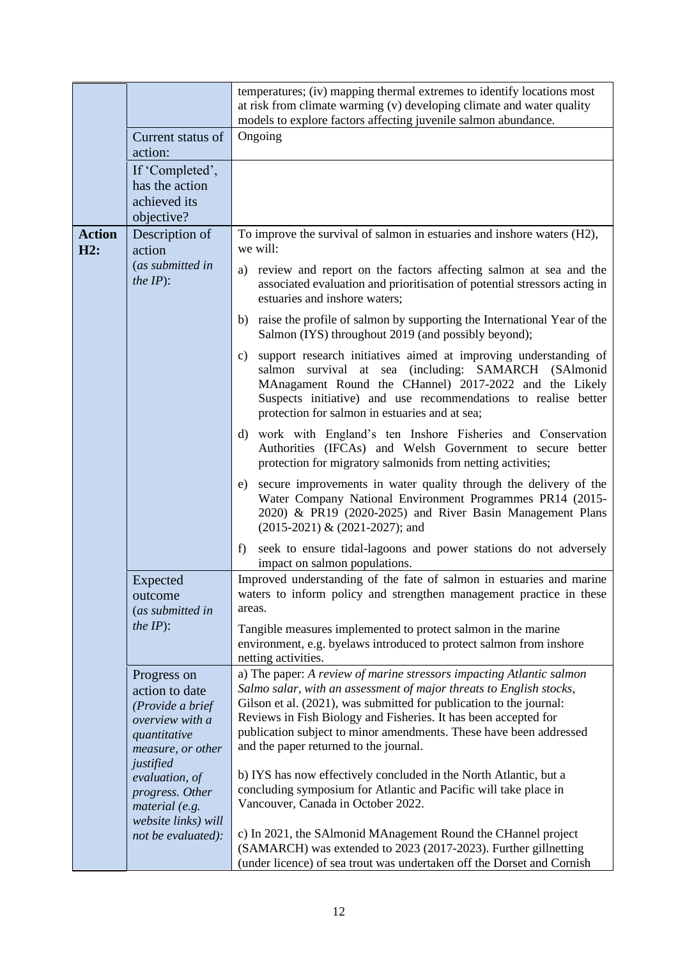|                      |                                                                                                           | temperatures; (iv) mapping thermal extremes to identify locations most<br>at risk from climate warming (v) developing climate and water quality<br>models to explore factors affecting juvenile salmon abundance.                                                                                                                                                                                     |
|----------------------|-----------------------------------------------------------------------------------------------------------|-------------------------------------------------------------------------------------------------------------------------------------------------------------------------------------------------------------------------------------------------------------------------------------------------------------------------------------------------------------------------------------------------------|
|                      | Current status of<br>action:                                                                              | Ongoing                                                                                                                                                                                                                                                                                                                                                                                               |
|                      | If 'Completed',<br>has the action<br>achieved its<br>objective?                                           |                                                                                                                                                                                                                                                                                                                                                                                                       |
| <b>Action</b><br>H2: | Description of<br>action                                                                                  | To improve the survival of salmon in estuaries and inshore waters (H2),<br>we will:                                                                                                                                                                                                                                                                                                                   |
|                      | (as submitted in<br>the $IP$ :                                                                            | a) review and report on the factors affecting salmon at sea and the<br>associated evaluation and prioritisation of potential stressors acting in<br>estuaries and inshore waters;                                                                                                                                                                                                                     |
|                      |                                                                                                           | b) raise the profile of salmon by supporting the International Year of the<br>Salmon (IYS) throughout 2019 (and possibly beyond);                                                                                                                                                                                                                                                                     |
|                      |                                                                                                           | support research initiatives aimed at improving understanding of<br>C)<br>survival<br>(including: SAMARCH (SAlmonid<br>salmon<br>at sea<br>MAnagament Round the CHannel) 2017-2022 and the Likely<br>Suspects initiative) and use recommendations to realise better<br>protection for salmon in estuaries and at sea;                                                                                 |
|                      |                                                                                                           | d) work with England's ten Inshore Fisheries and Conservation<br>Authorities (IFCAs) and Welsh Government to secure better<br>protection for migratory salmonids from netting activities;                                                                                                                                                                                                             |
|                      |                                                                                                           | secure improvements in water quality through the delivery of the<br>e)<br>Water Company National Environment Programmes PR14 (2015-<br>2020) & PR19 (2020-2025) and River Basin Management Plans<br>(2015-2021) & (2021-2027); and                                                                                                                                                                    |
|                      |                                                                                                           | seek to ensure tidal-lagoons and power stations do not adversely<br>f)<br>impact on salmon populations.                                                                                                                                                                                                                                                                                               |
|                      | Expected<br>outcome<br>(as submitted in                                                                   | Improved understanding of the fate of salmon in estuaries and marine<br>waters to inform policy and strengthen management practice in these<br>areas.                                                                                                                                                                                                                                                 |
|                      | <i>the IP</i> $)$ :                                                                                       | Tangible measures implemented to protect salmon in the marine<br>environment, e.g. byelaws introduced to protect salmon from inshore<br>netting activities.                                                                                                                                                                                                                                           |
|                      | Progress on<br>action to date<br>(Provide a brief<br>overview with a<br>quantitative<br>measure, or other | a) The paper: A review of marine stressors impacting Atlantic salmon<br>Salmo salar, with an assessment of major threats to English stocks,<br>Gilson et al. (2021), was submitted for publication to the journal:<br>Reviews in Fish Biology and Fisheries. It has been accepted for<br>publication subject to minor amendments. These have been addressed<br>and the paper returned to the journal. |
|                      | justified<br>evaluation, of<br>progress. Other<br>material (e.g.<br>website links) will                   | b) IYS has now effectively concluded in the North Atlantic, but a<br>concluding symposium for Atlantic and Pacific will take place in<br>Vancouver, Canada in October 2022.                                                                                                                                                                                                                           |
|                      | not be evaluated):                                                                                        | c) In 2021, the SAlmonid MAnagement Round the CHannel project<br>(SAMARCH) was extended to 2023 (2017-2023). Further gillnetting<br>(under licence) of sea trout was undertaken off the Dorset and Cornish                                                                                                                                                                                            |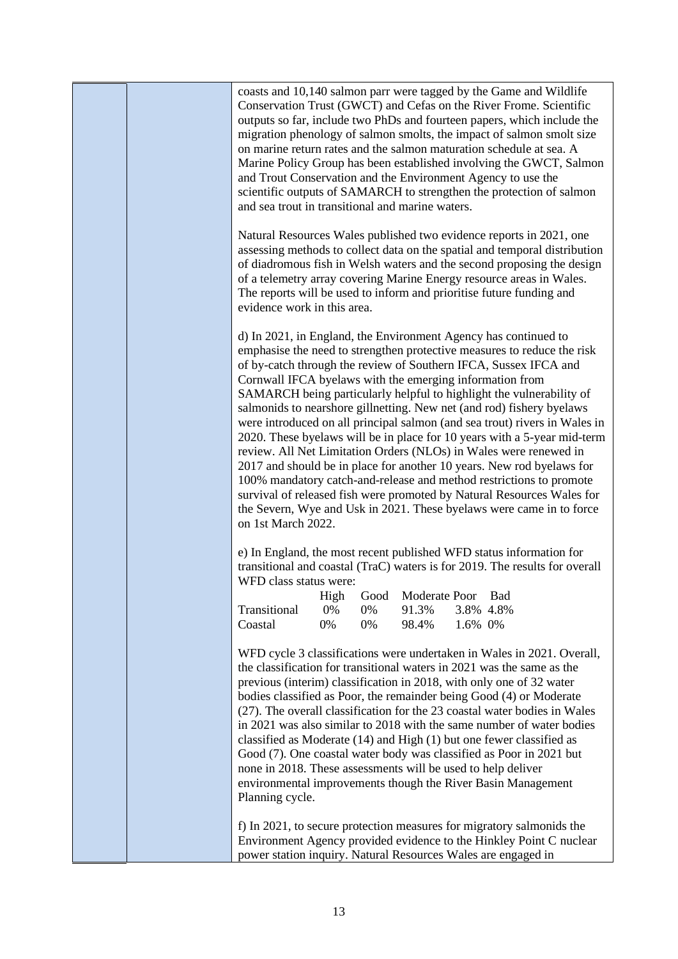|  | and Trout Conservation and the Environment Agency to use the                                                                                      |                  |                  |                                 |                      | coasts and 10,140 salmon parr were tagged by the Game and Wildlife<br>Conservation Trust (GWCT) and Cefas on the River Frome. Scientific<br>outputs so far, include two PhDs and fourteen papers, which include the<br>migration phenology of salmon smolts, the impact of salmon smolt size<br>on marine return rates and the salmon maturation schedule at sea. A<br>Marine Policy Group has been established involving the GWCT, Salmon                                                                                                                                                                                                                                                                                                                                                                                    |  |
|--|---------------------------------------------------------------------------------------------------------------------------------------------------|------------------|------------------|---------------------------------|----------------------|-------------------------------------------------------------------------------------------------------------------------------------------------------------------------------------------------------------------------------------------------------------------------------------------------------------------------------------------------------------------------------------------------------------------------------------------------------------------------------------------------------------------------------------------------------------------------------------------------------------------------------------------------------------------------------------------------------------------------------------------------------------------------------------------------------------------------------|--|
|  | and sea trout in transitional and marine waters.                                                                                                  |                  |                  |                                 |                      | scientific outputs of SAMARCH to strengthen the protection of salmon                                                                                                                                                                                                                                                                                                                                                                                                                                                                                                                                                                                                                                                                                                                                                          |  |
|  | evidence work in this area.                                                                                                                       |                  |                  |                                 |                      | Natural Resources Wales published two evidence reports in 2021, one<br>assessing methods to collect data on the spatial and temporal distribution<br>of diadromous fish in Welsh waters and the second proposing the design<br>of a telemetry array covering Marine Energy resource areas in Wales.<br>The reports will be used to inform and prioritise future funding and                                                                                                                                                                                                                                                                                                                                                                                                                                                   |  |
|  | d) In 2021, in England, the Environment Agency has continued to<br>Cornwall IFCA byelaws with the emerging information from<br>on 1st March 2022. |                  |                  |                                 |                      | emphasise the need to strengthen protective measures to reduce the risk<br>of by-catch through the review of Southern IFCA, Sussex IFCA and<br>SAMARCH being particularly helpful to highlight the vulnerability of<br>salmonids to nearshore gillnetting. New net (and rod) fishery byelaws<br>were introduced on all principal salmon (and sea trout) rivers in Wales in<br>2020. These byelaws will be in place for 10 years with a 5-year mid-term<br>review. All Net Limitation Orders (NLOs) in Wales were renewed in<br>2017 and should be in place for another 10 years. New rod byelaws for<br>100% mandatory catch-and-release and method restrictions to promote<br>survival of released fish were promoted by Natural Resources Wales for<br>the Severn, Wye and Usk in 2021. These byelaws were came in to force |  |
|  | WFD class status were:                                                                                                                            |                  |                  |                                 |                      | e) In England, the most recent published WFD status information for<br>transitional and coastal (TraC) waters is for 2019. The results for overall                                                                                                                                                                                                                                                                                                                                                                                                                                                                                                                                                                                                                                                                            |  |
|  | Transitional<br>Coastal                                                                                                                           | High<br>0%<br>0% | Good<br>0%<br>0% | Moderate Poor<br>91.3%<br>98.4% | 3.8% 4.8%<br>1.6% 0% | Bad                                                                                                                                                                                                                                                                                                                                                                                                                                                                                                                                                                                                                                                                                                                                                                                                                           |  |
|  | none in 2018. These assessments will be used to help deliver<br>Planning cycle.                                                                   |                  |                  |                                 |                      | WFD cycle 3 classifications were undertaken in Wales in 2021. Overall,<br>the classification for transitional waters in 2021 was the same as the<br>previous (interim) classification in 2018, with only one of 32 water<br>bodies classified as Poor, the remainder being Good (4) or Moderate<br>(27). The overall classification for the 23 coastal water bodies in Wales<br>in 2021 was also similar to 2018 with the same number of water bodies<br>classified as Moderate (14) and High (1) but one fewer classified as<br>Good (7). One coastal water body was classified as Poor in 2021 but<br>environmental improvements though the River Basin Management                                                                                                                                                          |  |
|  | power station inquiry. Natural Resources Wales are engaged in                                                                                     |                  |                  |                                 |                      | f) In 2021, to secure protection measures for migratory salmonids the<br>Environment Agency provided evidence to the Hinkley Point C nuclear                                                                                                                                                                                                                                                                                                                                                                                                                                                                                                                                                                                                                                                                                  |  |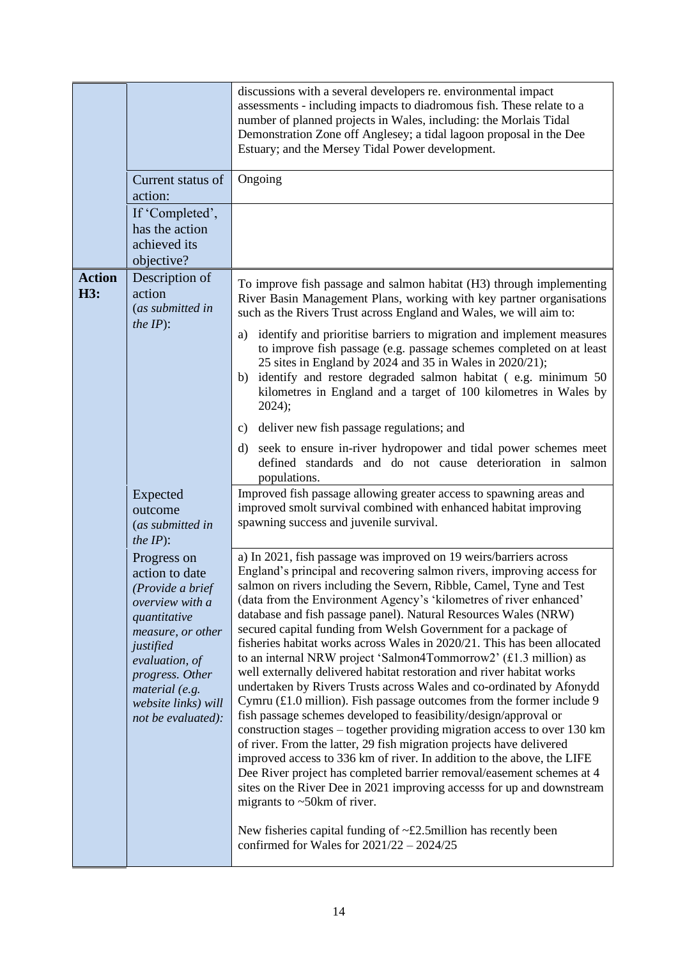|                      |                                                                                                                                                                                                                            | discussions with a several developers re. environmental impact<br>assessments - including impacts to diadromous fish. These relate to a<br>number of planned projects in Wales, including: the Morlais Tidal<br>Demonstration Zone off Anglesey; a tidal lagoon proposal in the Dee<br>Estuary; and the Mersey Tidal Power development.                                                                                                                                                                                                                                                                                                                                                                                                                                                                                                                                                                                                                                                                                                                                                                                                                                                                                                                                                                                                                                                                                       |
|----------------------|----------------------------------------------------------------------------------------------------------------------------------------------------------------------------------------------------------------------------|-------------------------------------------------------------------------------------------------------------------------------------------------------------------------------------------------------------------------------------------------------------------------------------------------------------------------------------------------------------------------------------------------------------------------------------------------------------------------------------------------------------------------------------------------------------------------------------------------------------------------------------------------------------------------------------------------------------------------------------------------------------------------------------------------------------------------------------------------------------------------------------------------------------------------------------------------------------------------------------------------------------------------------------------------------------------------------------------------------------------------------------------------------------------------------------------------------------------------------------------------------------------------------------------------------------------------------------------------------------------------------------------------------------------------------|
|                      | Current status of<br>action:                                                                                                                                                                                               | Ongoing                                                                                                                                                                                                                                                                                                                                                                                                                                                                                                                                                                                                                                                                                                                                                                                                                                                                                                                                                                                                                                                                                                                                                                                                                                                                                                                                                                                                                       |
|                      | If 'Completed',<br>has the action<br>achieved its<br>objective?                                                                                                                                                            |                                                                                                                                                                                                                                                                                                                                                                                                                                                                                                                                                                                                                                                                                                                                                                                                                                                                                                                                                                                                                                                                                                                                                                                                                                                                                                                                                                                                                               |
| <b>Action</b><br>H3: | Description of<br>action<br>(as submitted in<br>the $IP$ :                                                                                                                                                                 | To improve fish passage and salmon habitat (H3) through implementing<br>River Basin Management Plans, working with key partner organisations<br>such as the Rivers Trust across England and Wales, we will aim to:                                                                                                                                                                                                                                                                                                                                                                                                                                                                                                                                                                                                                                                                                                                                                                                                                                                                                                                                                                                                                                                                                                                                                                                                            |
|                      |                                                                                                                                                                                                                            | identify and prioritise barriers to migration and implement measures<br>a)<br>to improve fish passage (e.g. passage schemes completed on at least<br>25 sites in England by 2024 and 35 in Wales in 2020/21);<br>identify and restore degraded salmon habitat (e.g. minimum 50)<br>b)<br>kilometres in England and a target of 100 kilometres in Wales by<br>2024);                                                                                                                                                                                                                                                                                                                                                                                                                                                                                                                                                                                                                                                                                                                                                                                                                                                                                                                                                                                                                                                           |
|                      |                                                                                                                                                                                                                            | deliver new fish passage regulations; and<br>C)                                                                                                                                                                                                                                                                                                                                                                                                                                                                                                                                                                                                                                                                                                                                                                                                                                                                                                                                                                                                                                                                                                                                                                                                                                                                                                                                                                               |
|                      |                                                                                                                                                                                                                            | seek to ensure in-river hydropower and tidal power schemes meet<br>d)<br>defined standards and do not cause deterioration in salmon<br>populations.                                                                                                                                                                                                                                                                                                                                                                                                                                                                                                                                                                                                                                                                                                                                                                                                                                                                                                                                                                                                                                                                                                                                                                                                                                                                           |
|                      | Expected<br>outcome<br>(as submitted in<br><i>the IP</i> $)$ :                                                                                                                                                             | Improved fish passage allowing greater access to spawning areas and<br>improved smolt survival combined with enhanced habitat improving<br>spawning success and juvenile survival.                                                                                                                                                                                                                                                                                                                                                                                                                                                                                                                                                                                                                                                                                                                                                                                                                                                                                                                                                                                                                                                                                                                                                                                                                                            |
|                      | Progress on<br>action to date<br>(Provide a brief<br>overview with a<br>quantitative<br>measure, or other<br>justified<br>evaluation, of<br>progress. Other<br>material (e.g.<br>website links) will<br>not be evaluated): | a) In 2021, fish passage was improved on 19 weirs/barriers across<br>England's principal and recovering salmon rivers, improving access for<br>salmon on rivers including the Severn, Ribble, Camel, Tyne and Test<br>(data from the Environment Agency's 'kilometres of river enhanced'<br>database and fish passage panel). Natural Resources Wales (NRW)<br>secured capital funding from Welsh Government for a package of<br>fisheries habitat works across Wales in 2020/21. This has been allocated<br>to an internal NRW project 'Salmon4Tommorrow2' (£1.3 million) as<br>well externally delivered habitat restoration and river habitat works<br>undertaken by Rivers Trusts across Wales and co-ordinated by Afonydd<br>Cymru $(£1.0$ million). Fish passage outcomes from the former include 9<br>fish passage schemes developed to feasibility/design/approval or<br>construction stages – together providing migration access to over 130 km<br>of river. From the latter, 29 fish migration projects have delivered<br>improved access to 336 km of river. In addition to the above, the LIFE<br>Dee River project has completed barrier removal/easement schemes at 4<br>sites on the River Dee in 2021 improving accesss for up and downstream<br>migrants to $\sim$ 50 km of river.<br>New fisheries capital funding of $\sim$ £2.5 million has recently been<br>confirmed for Wales for $2021/22 - 2024/25$ |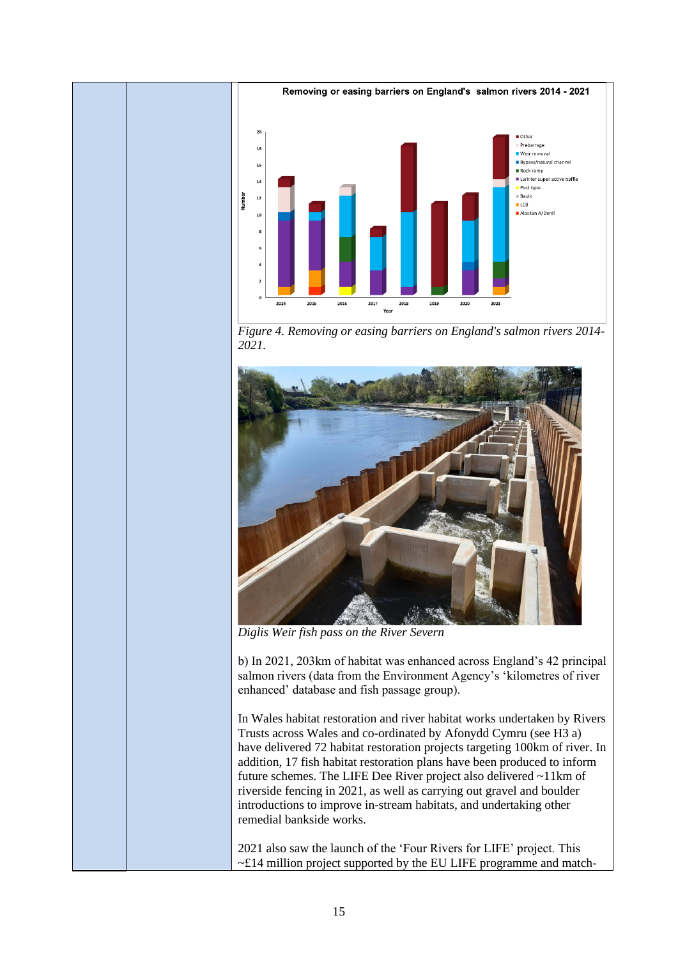





*Diglis Weir fish pass on the River Severn*

b) In 2021, 203km of habitat was enhanced across England's 42 principal salmon rivers (data from the Environment Agency's 'kilometres of river enhanced' database and fish passage group).

In Wales habitat restoration and river habitat works undertaken by Rivers Trusts across Wales and co-ordinated by Afonydd Cymru (see H3 a) have delivered 72 habitat restoration projects targeting 100km of river. In addition, 17 fish habitat restoration plans have been produced to inform future schemes. The LIFE Dee River project also delivered ~11km of riverside fencing in 2021, as well as carrying out gravel and boulder introductions to improve in-stream habitats, and undertaking other remedial bankside works.

2021 also saw the launch of the 'Four Rivers for LIFE' project. This  $\sim$ £14 million project supported by the EU LIFE programme and match-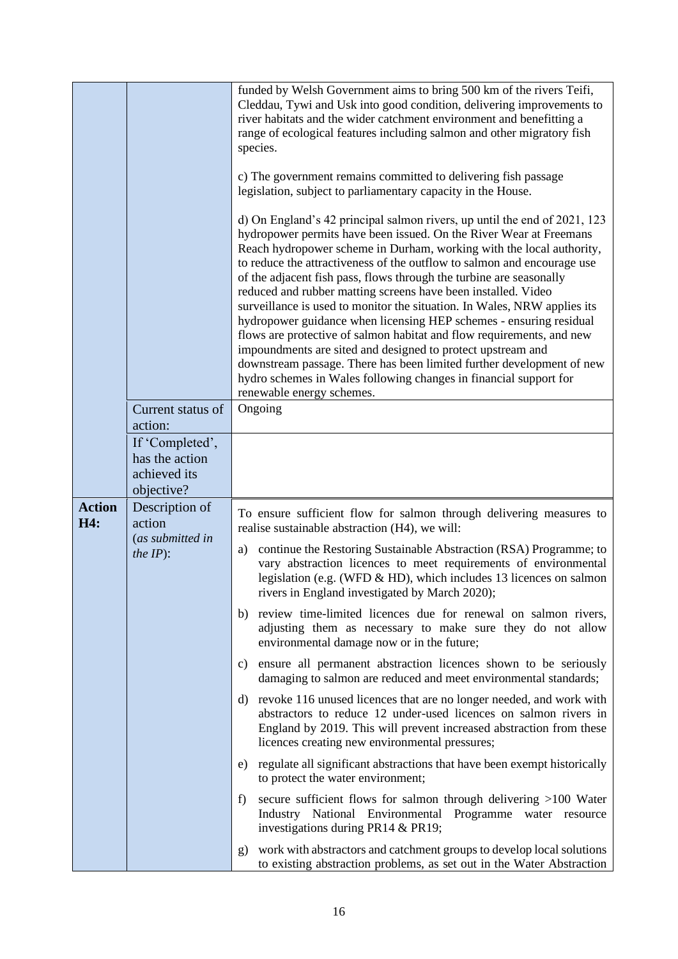|                      |                                                                 | funded by Welsh Government aims to bring 500 km of the rivers Teifi,<br>Cleddau, Tywi and Usk into good condition, delivering improvements to<br>river habitats and the wider catchment environment and benefitting a<br>range of ecological features including salmon and other migratory fish<br>species.<br>c) The government remains committed to delivering fish passage<br>legislation, subject to parliamentary capacity in the House.<br>d) On England's 42 principal salmon rivers, up until the end of 2021, 123<br>hydropower permits have been issued. On the River Wear at Freemans<br>Reach hydropower scheme in Durham, working with the local authority,<br>to reduce the attractiveness of the outflow to salmon and encourage use<br>of the adjacent fish pass, flows through the turbine are seasonally<br>reduced and rubber matting screens have been installed. Video<br>surveillance is used to monitor the situation. In Wales, NRW applies its<br>hydropower guidance when licensing HEP schemes - ensuring residual<br>flows are protective of salmon habitat and flow requirements, and new<br>impoundments are sited and designed to protect upstream and<br>downstream passage. There has been limited further development of new<br>hydro schemes in Wales following changes in financial support for<br>renewable energy schemes. |
|----------------------|-----------------------------------------------------------------|------------------------------------------------------------------------------------------------------------------------------------------------------------------------------------------------------------------------------------------------------------------------------------------------------------------------------------------------------------------------------------------------------------------------------------------------------------------------------------------------------------------------------------------------------------------------------------------------------------------------------------------------------------------------------------------------------------------------------------------------------------------------------------------------------------------------------------------------------------------------------------------------------------------------------------------------------------------------------------------------------------------------------------------------------------------------------------------------------------------------------------------------------------------------------------------------------------------------------------------------------------------------------------------------------------------------------------------------------------------|
|                      | Current status of<br>action:                                    | Ongoing                                                                                                                                                                                                                                                                                                                                                                                                                                                                                                                                                                                                                                                                                                                                                                                                                                                                                                                                                                                                                                                                                                                                                                                                                                                                                                                                                          |
|                      | If 'Completed',<br>has the action<br>achieved its<br>objective? |                                                                                                                                                                                                                                                                                                                                                                                                                                                                                                                                                                                                                                                                                                                                                                                                                                                                                                                                                                                                                                                                                                                                                                                                                                                                                                                                                                  |
| <b>Action</b><br>H4: | Description of<br>action                                        | To ensure sufficient flow for salmon through delivering measures to<br>realise sustainable abstraction (H4), we will:                                                                                                                                                                                                                                                                                                                                                                                                                                                                                                                                                                                                                                                                                                                                                                                                                                                                                                                                                                                                                                                                                                                                                                                                                                            |
|                      | (as submitted in<br>$the IP$ :                                  | continue the Restoring Sustainable Abstraction (RSA) Programme; to<br>a)<br>vary abstraction licences to meet requirements of environmental<br>legislation (e.g. (WFD & HD), which includes 13 licences on salmon<br>rivers in England investigated by March 2020);                                                                                                                                                                                                                                                                                                                                                                                                                                                                                                                                                                                                                                                                                                                                                                                                                                                                                                                                                                                                                                                                                              |
|                      |                                                                 | b) review time-limited licences due for renewal on salmon rivers,<br>adjusting them as necessary to make sure they do not allow<br>environmental damage now or in the future;                                                                                                                                                                                                                                                                                                                                                                                                                                                                                                                                                                                                                                                                                                                                                                                                                                                                                                                                                                                                                                                                                                                                                                                    |
|                      |                                                                 | c) ensure all permanent abstraction licences shown to be seriously<br>damaging to salmon are reduced and meet environmental standards;                                                                                                                                                                                                                                                                                                                                                                                                                                                                                                                                                                                                                                                                                                                                                                                                                                                                                                                                                                                                                                                                                                                                                                                                                           |
|                      |                                                                 | d) revoke 116 unused licences that are no longer needed, and work with<br>abstractors to reduce 12 under-used licences on salmon rivers in<br>England by 2019. This will prevent increased abstraction from these<br>licences creating new environmental pressures;                                                                                                                                                                                                                                                                                                                                                                                                                                                                                                                                                                                                                                                                                                                                                                                                                                                                                                                                                                                                                                                                                              |
|                      |                                                                 | e) regulate all significant abstractions that have been exempt historically<br>to protect the water environment;                                                                                                                                                                                                                                                                                                                                                                                                                                                                                                                                                                                                                                                                                                                                                                                                                                                                                                                                                                                                                                                                                                                                                                                                                                                 |
|                      |                                                                 | secure sufficient flows for salmon through delivering >100 Water<br>f<br>Industry National Environmental Programme water resource<br>investigations during PR14 & PR19;                                                                                                                                                                                                                                                                                                                                                                                                                                                                                                                                                                                                                                                                                                                                                                                                                                                                                                                                                                                                                                                                                                                                                                                          |
|                      |                                                                 | work with abstractors and catchment groups to develop local solutions<br>g)<br>to existing abstraction problems, as set out in the Water Abstraction                                                                                                                                                                                                                                                                                                                                                                                                                                                                                                                                                                                                                                                                                                                                                                                                                                                                                                                                                                                                                                                                                                                                                                                                             |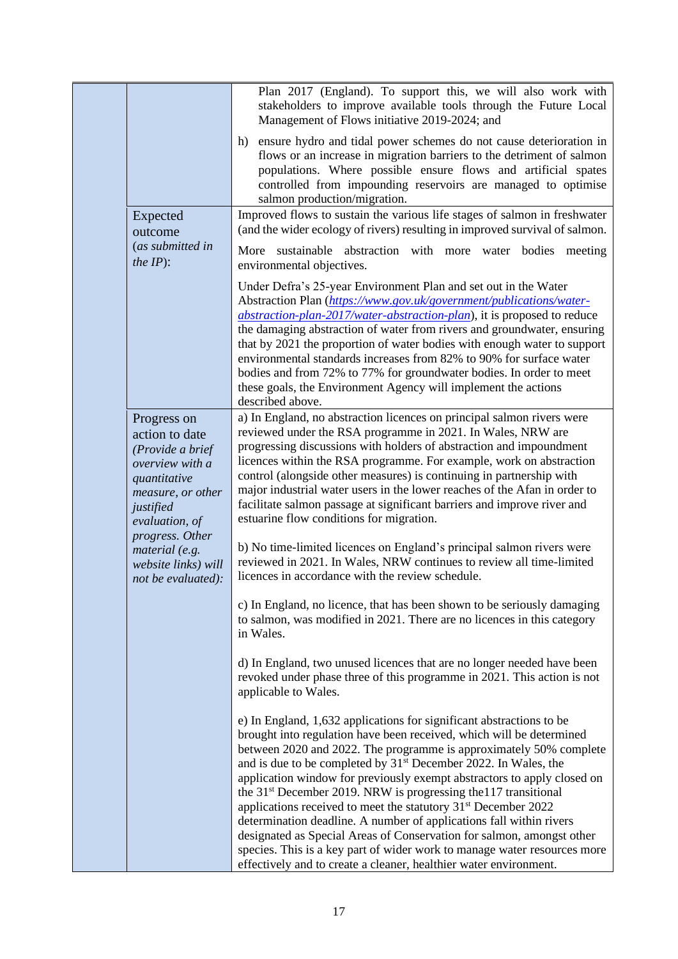|                                                                                                                                          | Plan 2017 (England). To support this, we will also work with<br>stakeholders to improve available tools through the Future Local<br>Management of Flows initiative 2019-2024; and                                                                                                                                                                                                                                                                                                                                                                                                                                                                                                                                                                                                                                                |
|------------------------------------------------------------------------------------------------------------------------------------------|----------------------------------------------------------------------------------------------------------------------------------------------------------------------------------------------------------------------------------------------------------------------------------------------------------------------------------------------------------------------------------------------------------------------------------------------------------------------------------------------------------------------------------------------------------------------------------------------------------------------------------------------------------------------------------------------------------------------------------------------------------------------------------------------------------------------------------|
|                                                                                                                                          | h) ensure hydro and tidal power schemes do not cause deterioration in<br>flows or an increase in migration barriers to the detriment of salmon<br>populations. Where possible ensure flows and artificial spates<br>controlled from impounding reservoirs are managed to optimise<br>salmon production/migration.                                                                                                                                                                                                                                                                                                                                                                                                                                                                                                                |
| Expected<br>outcome                                                                                                                      | Improved flows to sustain the various life stages of salmon in freshwater<br>(and the wider ecology of rivers) resulting in improved survival of salmon.                                                                                                                                                                                                                                                                                                                                                                                                                                                                                                                                                                                                                                                                         |
| (as submitted in<br>the $IP$ :                                                                                                           | More sustainable abstraction with more water bodies meeting<br>environmental objectives.                                                                                                                                                                                                                                                                                                                                                                                                                                                                                                                                                                                                                                                                                                                                         |
|                                                                                                                                          | Under Defra's 25-year Environment Plan and set out in the Water<br>Abstraction Plan (https://www.gov.uk/government/publications/water-<br>abstraction-plan-2017/water-abstraction-plan), it is proposed to reduce<br>the damaging abstraction of water from rivers and groundwater, ensuring<br>that by 2021 the proportion of water bodies with enough water to support<br>environmental standards increases from 82% to 90% for surface water<br>bodies and from 72% to 77% for groundwater bodies. In order to meet<br>these goals, the Environment Agency will implement the actions<br>described above.                                                                                                                                                                                                                     |
| Progress on<br>action to date<br>(Provide a brief<br>overview with a<br>quantitative<br>measure, or other<br>justified<br>evaluation, of | a) In England, no abstraction licences on principal salmon rivers were<br>reviewed under the RSA programme in 2021. In Wales, NRW are<br>progressing discussions with holders of abstraction and impoundment<br>licences within the RSA programme. For example, work on abstraction<br>control (alongside other measures) is continuing in partnership with<br>major industrial water users in the lower reaches of the Afan in order to<br>facilitate salmon passage at significant barriers and improve river and<br>estuarine flow conditions for migration.                                                                                                                                                                                                                                                                  |
| progress. Other<br>material (e.g.<br>website links) will<br>not be evaluated):                                                           | b) No time-limited licences on England's principal salmon rivers were<br>reviewed in 2021. In Wales, NRW continues to review all time-limited<br>licences in accordance with the review schedule.                                                                                                                                                                                                                                                                                                                                                                                                                                                                                                                                                                                                                                |
|                                                                                                                                          | c) In England, no licence, that has been shown to be seriously damaging<br>to salmon, was modified in 2021. There are no licences in this category<br>in Wales.                                                                                                                                                                                                                                                                                                                                                                                                                                                                                                                                                                                                                                                                  |
|                                                                                                                                          | d) In England, two unused licences that are no longer needed have been<br>revoked under phase three of this programme in 2021. This action is not<br>applicable to Wales.                                                                                                                                                                                                                                                                                                                                                                                                                                                                                                                                                                                                                                                        |
|                                                                                                                                          | e) In England, 1,632 applications for significant abstractions to be<br>brought into regulation have been received, which will be determined<br>between 2020 and 2022. The programme is approximately 50% complete<br>and is due to be completed by $31st$ December 2022. In Wales, the<br>application window for previously exempt abstractors to apply closed on<br>the 31 <sup>st</sup> December 2019. NRW is progressing the 117 transitional<br>applications received to meet the statutory 31 <sup>st</sup> December 2022<br>determination deadline. A number of applications fall within rivers<br>designated as Special Areas of Conservation for salmon, amongst other<br>species. This is a key part of wider work to manage water resources more<br>effectively and to create a cleaner, healthier water environment. |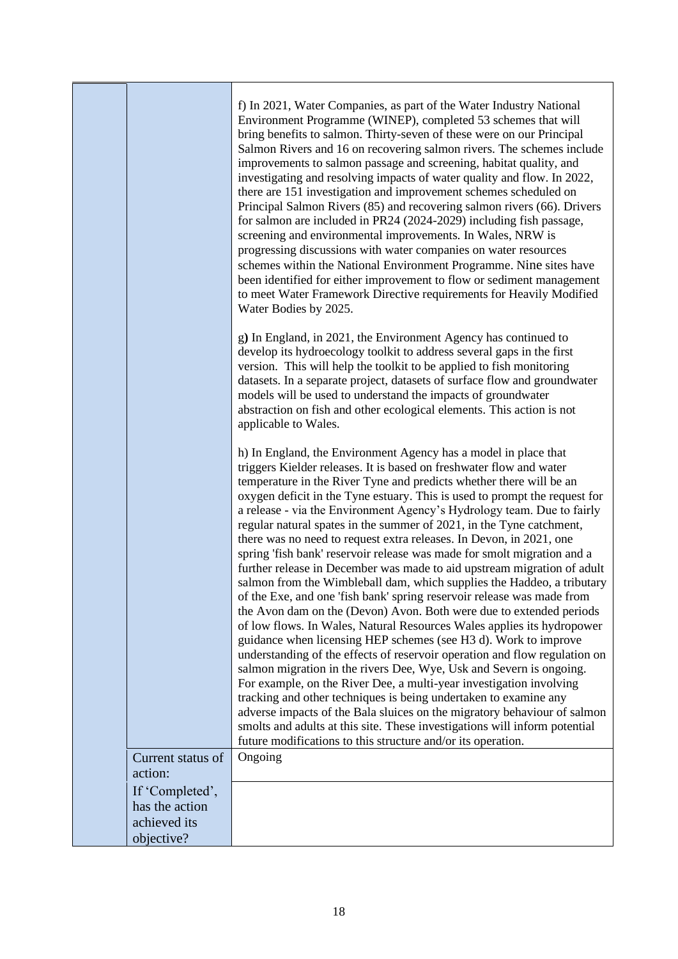|                            | f) In 2021, Water Companies, as part of the Water Industry National<br>Environment Programme (WINEP), completed 53 schemes that will<br>bring benefits to salmon. Thirty-seven of these were on our Principal<br>Salmon Rivers and 16 on recovering salmon rivers. The schemes include<br>improvements to salmon passage and screening, habitat quality, and<br>investigating and resolving impacts of water quality and flow. In 2022,<br>there are 151 investigation and improvement schemes scheduled on<br>Principal Salmon Rivers (85) and recovering salmon rivers (66). Drivers<br>for salmon are included in PR24 (2024-2029) including fish passage,<br>screening and environmental improvements. In Wales, NRW is<br>progressing discussions with water companies on water resources<br>schemes within the National Environment Programme. Nine sites have<br>been identified for either improvement to flow or sediment management<br>to meet Water Framework Directive requirements for Heavily Modified<br>Water Bodies by 2025.                                                                                                                                                                                                                                                                                                                                                                                                                                                                                                                                |
|----------------------------|------------------------------------------------------------------------------------------------------------------------------------------------------------------------------------------------------------------------------------------------------------------------------------------------------------------------------------------------------------------------------------------------------------------------------------------------------------------------------------------------------------------------------------------------------------------------------------------------------------------------------------------------------------------------------------------------------------------------------------------------------------------------------------------------------------------------------------------------------------------------------------------------------------------------------------------------------------------------------------------------------------------------------------------------------------------------------------------------------------------------------------------------------------------------------------------------------------------------------------------------------------------------------------------------------------------------------------------------------------------------------------------------------------------------------------------------------------------------------------------------------------------------------------------------------------------------------|
|                            | g) In England, in 2021, the Environment Agency has continued to<br>develop its hydroecology toolkit to address several gaps in the first<br>version. This will help the toolkit to be applied to fish monitoring<br>datasets. In a separate project, datasets of surface flow and groundwater<br>models will be used to understand the impacts of groundwater<br>abstraction on fish and other ecological elements. This action is not<br>applicable to Wales.                                                                                                                                                                                                                                                                                                                                                                                                                                                                                                                                                                                                                                                                                                                                                                                                                                                                                                                                                                                                                                                                                                               |
|                            | h) In England, the Environment Agency has a model in place that<br>triggers Kielder releases. It is based on freshwater flow and water<br>temperature in the River Tyne and predicts whether there will be an<br>oxygen deficit in the Tyne estuary. This is used to prompt the request for<br>a release - via the Environment Agency's Hydrology team. Due to fairly<br>regular natural spates in the summer of 2021, in the Tyne catchment,<br>there was no need to request extra releases. In Devon, in 2021, one<br>spring 'fish bank' reservoir release was made for smolt migration and a<br>further release in December was made to aid upstream migration of adult<br>salmon from the Wimbleball dam, which supplies the Haddeo, a tributary<br>of the Exe, and one 'fish bank' spring reservoir release was made from<br>the Avon dam on the (Devon) Avon. Both were due to extended periods<br>of low flows. In Wales, Natural Resources Wales applies its hydropower<br>guidance when licensing HEP schemes (see H3 d). Work to improve<br>understanding of the effects of reservoir operation and flow regulation on<br>salmon migration in the rivers Dee, Wye, Usk and Severn is ongoing.<br>For example, on the River Dee, a multi-year investigation involving<br>tracking and other techniques is being undertaken to examine any<br>adverse impacts of the Bala sluices on the migratory behaviour of salmon<br>smolts and adults at this site. These investigations will inform potential<br>future modifications to this structure and/or its operation. |
| Current status of          | Ongoing                                                                                                                                                                                                                                                                                                                                                                                                                                                                                                                                                                                                                                                                                                                                                                                                                                                                                                                                                                                                                                                                                                                                                                                                                                                                                                                                                                                                                                                                                                                                                                      |
| action:<br>If 'Completed', |                                                                                                                                                                                                                                                                                                                                                                                                                                                                                                                                                                                                                                                                                                                                                                                                                                                                                                                                                                                                                                                                                                                                                                                                                                                                                                                                                                                                                                                                                                                                                                              |
| has the action             |                                                                                                                                                                                                                                                                                                                                                                                                                                                                                                                                                                                                                                                                                                                                                                                                                                                                                                                                                                                                                                                                                                                                                                                                                                                                                                                                                                                                                                                                                                                                                                              |
| achieved its               |                                                                                                                                                                                                                                                                                                                                                                                                                                                                                                                                                                                                                                                                                                                                                                                                                                                                                                                                                                                                                                                                                                                                                                                                                                                                                                                                                                                                                                                                                                                                                                              |
| objective?                 |                                                                                                                                                                                                                                                                                                                                                                                                                                                                                                                                                                                                                                                                                                                                                                                                                                                                                                                                                                                                                                                                                                                                                                                                                                                                                                                                                                                                                                                                                                                                                                              |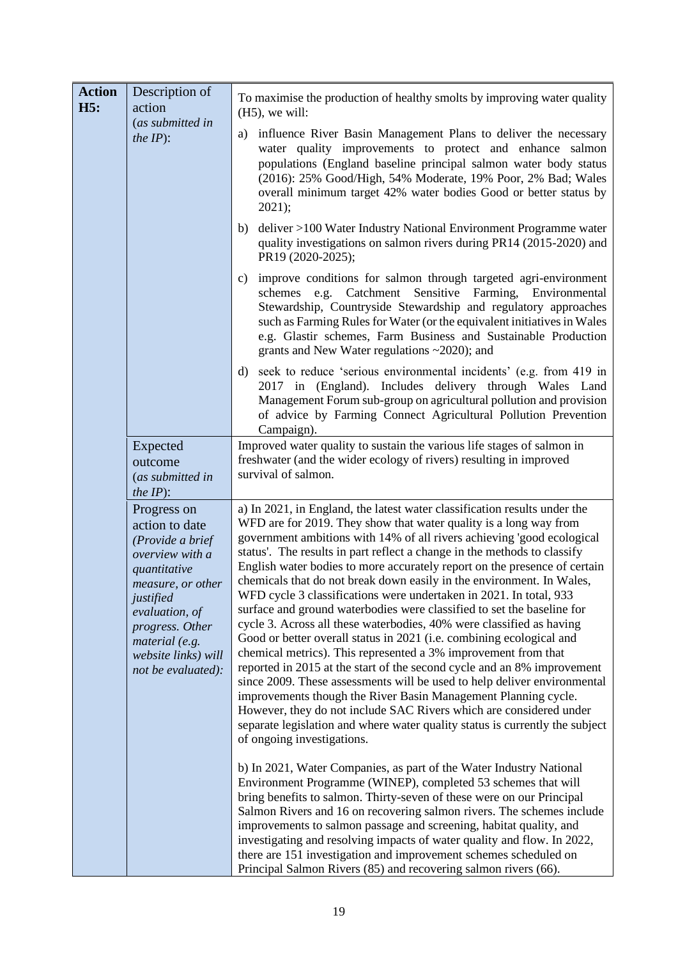| <b>Action</b><br>H <sub>5</sub> :<br>action<br>(as submitted in<br>the $IP$ :<br>Expected<br>outcome<br>(as submitted in<br><i>the IP</i> $)$ :<br>Progress on<br>action to date<br>(Provide a brief<br>overview with a<br>quantitative<br>measure, or other<br>justified<br>evaluation, of<br>progress. Other<br>material (e.g.<br>website links) will<br>not be evaluated): | Description of | To maximise the production of healthy smolts by improving water quality<br>$(H5)$ , we will:<br>influence River Basin Management Plans to deliver the necessary<br>a)<br>water quality improvements to protect and enhance salmon<br>populations (England baseline principal salmon water body status<br>(2016): 25% Good/High, 54% Moderate, 19% Poor, 2% Bad; Wales<br>overall minimum target 42% water bodies Good or better status by<br>$2021$ ;<br>deliver >100 Water Industry National Environment Programme water<br>b)<br>quality investigations on salmon rivers during PR14 (2015-2020) and<br>PR19 (2020-2025);<br>c) improve conditions for salmon through targeted agri-environment<br>schemes e.g. Catchment Sensitive Farming, Environmental<br>Stewardship, Countryside Stewardship and regulatory approaches<br>such as Farming Rules for Water (or the equivalent initiatives in Wales<br>e.g. Glastir schemes, Farm Business and Sustainable Production<br>grants and New Water regulations $\sim$ 2020); and                                                                                                                                                                                                         |
|-------------------------------------------------------------------------------------------------------------------------------------------------------------------------------------------------------------------------------------------------------------------------------------------------------------------------------------------------------------------------------|----------------|-------------------------------------------------------------------------------------------------------------------------------------------------------------------------------------------------------------------------------------------------------------------------------------------------------------------------------------------------------------------------------------------------------------------------------------------------------------------------------------------------------------------------------------------------------------------------------------------------------------------------------------------------------------------------------------------------------------------------------------------------------------------------------------------------------------------------------------------------------------------------------------------------------------------------------------------------------------------------------------------------------------------------------------------------------------------------------------------------------------------------------------------------------------------------------------------------------------------------------------------|
|                                                                                                                                                                                                                                                                                                                                                                               |                | d) seek to reduce 'serious environmental incidents' (e.g. from 419 in<br>2017 in (England). Includes delivery through Wales Land<br>Management Forum sub-group on agricultural pollution and provision<br>of advice by Farming Connect Agricultural Pollution Prevention<br>Campaign).<br>Improved water quality to sustain the various life stages of salmon in<br>freshwater (and the wider ecology of rivers) resulting in improved                                                                                                                                                                                                                                                                                                                                                                                                                                                                                                                                                                                                                                                                                                                                                                                                    |
|                                                                                                                                                                                                                                                                                                                                                                               |                | survival of salmon.                                                                                                                                                                                                                                                                                                                                                                                                                                                                                                                                                                                                                                                                                                                                                                                                                                                                                                                                                                                                                                                                                                                                                                                                                       |
|                                                                                                                                                                                                                                                                                                                                                                               |                | a) In 2021, in England, the latest water classification results under the<br>WFD are for 2019. They show that water quality is a long way from<br>government ambitions with 14% of all rivers achieving 'good ecological<br>status'. The results in part reflect a change in the methods to classify<br>English water bodies to more accurately report on the presence of certain<br>chemicals that do not break down easily in the environment. In Wales,<br>WFD cycle 3 classifications were undertaken in 2021. In total, 933<br>surface and ground waterbodies were classified to set the baseline for<br>cycle 3. Across all these waterbodies, 40% were classified as having<br>Good or better overall status in 2021 (i.e. combining ecological and<br>chemical metrics). This represented a 3% improvement from that<br>reported in 2015 at the start of the second cycle and an 8% improvement<br>since 2009. These assessments will be used to help deliver environmental<br>improvements though the River Basin Management Planning cycle.<br>However, they do not include SAC Rivers which are considered under<br>separate legislation and where water quality status is currently the subject<br>of ongoing investigations. |
|                                                                                                                                                                                                                                                                                                                                                                               |                | b) In 2021, Water Companies, as part of the Water Industry National<br>Environment Programme (WINEP), completed 53 schemes that will<br>bring benefits to salmon. Thirty-seven of these were on our Principal<br>Salmon Rivers and 16 on recovering salmon rivers. The schemes include<br>improvements to salmon passage and screening, habitat quality, and<br>investigating and resolving impacts of water quality and flow. In 2022,<br>there are 151 investigation and improvement schemes scheduled on<br>Principal Salmon Rivers (85) and recovering salmon rivers (66).                                                                                                                                                                                                                                                                                                                                                                                                                                                                                                                                                                                                                                                            |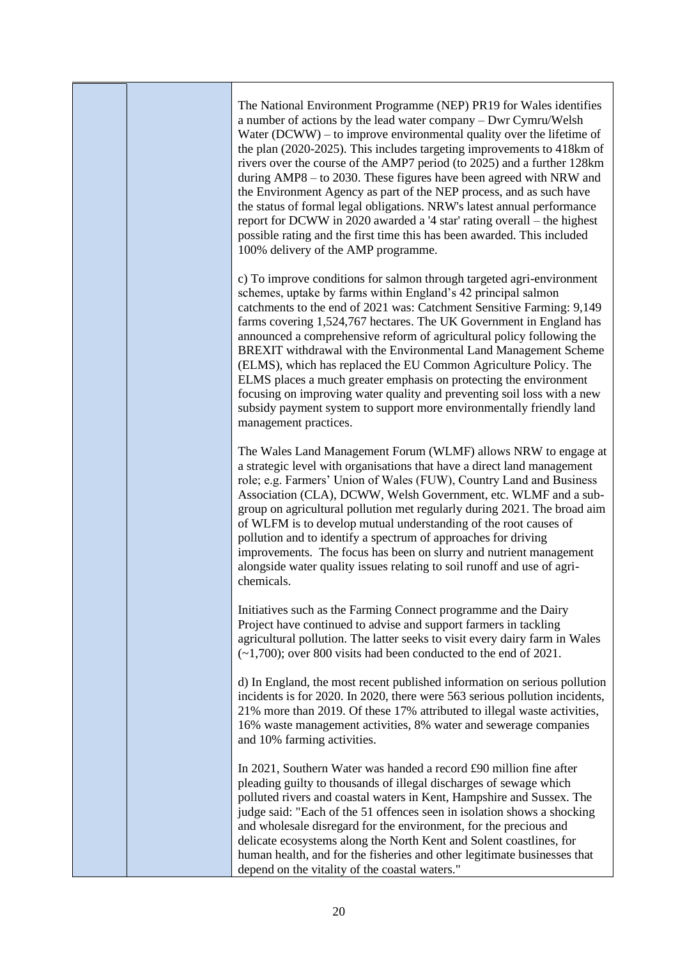|  | The National Environment Programme (NEP) PR19 for Wales identifies<br>a number of actions by the lead water company - Dwr Cymru/Welsh<br>Water $(DCWW)$ – to improve environmental quality over the lifetime of<br>the plan (2020-2025). This includes targeting improvements to 418km of<br>rivers over the course of the AMP7 period (to 2025) and a further 128km<br>during AMP8 – to 2030. These figures have been agreed with NRW and<br>the Environment Agency as part of the NEP process, and as such have<br>the status of formal legal obligations. NRW's latest annual performance<br>report for DCWW in 2020 awarded a '4 star' rating overall - the highest<br>possible rating and the first time this has been awarded. This included<br>100% delivery of the AMP programme. |
|--|-------------------------------------------------------------------------------------------------------------------------------------------------------------------------------------------------------------------------------------------------------------------------------------------------------------------------------------------------------------------------------------------------------------------------------------------------------------------------------------------------------------------------------------------------------------------------------------------------------------------------------------------------------------------------------------------------------------------------------------------------------------------------------------------|
|  | c) To improve conditions for salmon through targeted agri-environment<br>schemes, uptake by farms within England's 42 principal salmon<br>catchments to the end of 2021 was: Catchment Sensitive Farming: 9,149<br>farms covering 1,524,767 hectares. The UK Government in England has<br>announced a comprehensive reform of agricultural policy following the<br>BREXIT withdrawal with the Environmental Land Management Scheme<br>(ELMS), which has replaced the EU Common Agriculture Policy. The<br>ELMS places a much greater emphasis on protecting the environment<br>focusing on improving water quality and preventing soil loss with a new<br>subsidy payment system to support more environmentally friendly land<br>management practices.                                   |
|  | The Wales Land Management Forum (WLMF) allows NRW to engage at<br>a strategic level with organisations that have a direct land management<br>role; e.g. Farmers' Union of Wales (FUW), Country Land and Business<br>Association (CLA), DCWW, Welsh Government, etc. WLMF and a sub-<br>group on agricultural pollution met regularly during 2021. The broad aim<br>of WLFM is to develop mutual understanding of the root causes of<br>pollution and to identify a spectrum of approaches for driving<br>improvements. The focus has been on slurry and nutrient management<br>alongside water quality issues relating to soil runoff and use of agri-<br>chemicals.                                                                                                                      |
|  | Initiatives such as the Farming Connect programme and the Dairy<br>Project have continued to advise and support farmers in tackling<br>agricultural pollution. The latter seeks to visit every dairy farm in Wales<br>$(-1,700)$ ; over 800 visits had been conducted to the end of 2021.                                                                                                                                                                                                                                                                                                                                                                                                                                                                                                 |
|  | d) In England, the most recent published information on serious pollution<br>incidents is for 2020. In 2020, there were 563 serious pollution incidents,<br>21% more than 2019. Of these 17% attributed to illegal waste activities,<br>16% waste management activities, 8% water and sewerage companies<br>and 10% farming activities.                                                                                                                                                                                                                                                                                                                                                                                                                                                   |
|  | In 2021, Southern Water was handed a record £90 million fine after<br>pleading guilty to thousands of illegal discharges of sewage which<br>polluted rivers and coastal waters in Kent, Hampshire and Sussex. The<br>judge said: "Each of the 51 offences seen in isolation shows a shocking<br>and wholesale disregard for the environment, for the precious and<br>delicate ecosystems along the North Kent and Solent coastlines, for<br>human health, and for the fisheries and other legitimate businesses that<br>depend on the vitality of the coastal waters."                                                                                                                                                                                                                    |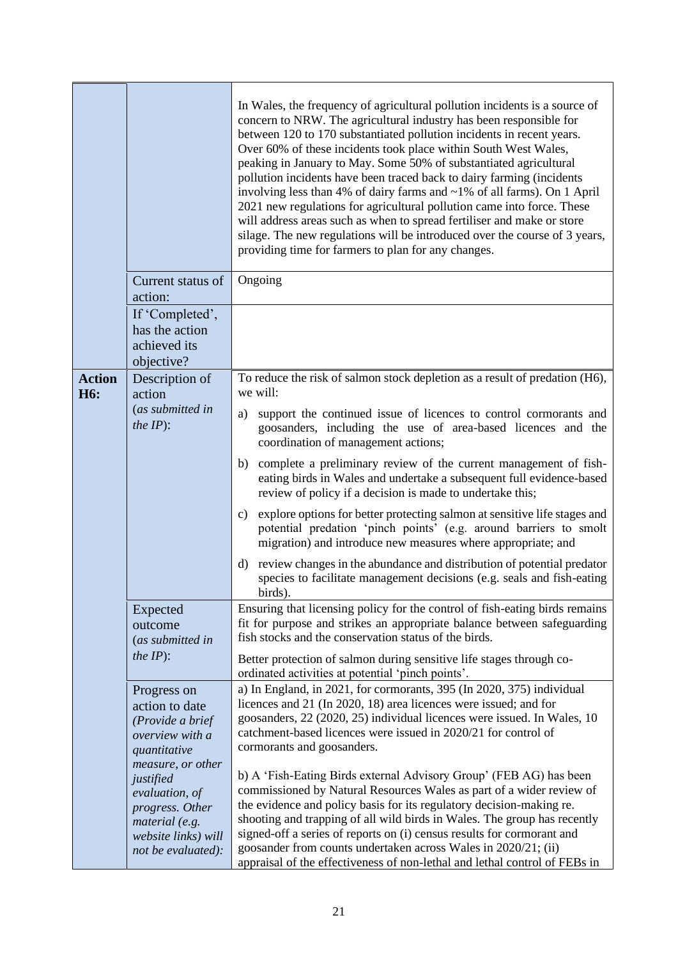|                                   |                                                                                       | In Wales, the frequency of agricultural pollution incidents is a source of<br>concern to NRW. The agricultural industry has been responsible for<br>between 120 to 170 substantiated pollution incidents in recent years.<br>Over 60% of these incidents took place within South West Wales,<br>peaking in January to May. Some 50% of substantiated agricultural<br>pollution incidents have been traced back to dairy farming (incidents<br>involving less than 4% of dairy farms and $~1\%$ of all farms). On 1 April<br>2021 new regulations for agricultural pollution came into force. These<br>will address areas such as when to spread fertiliser and make or store<br>silage. The new regulations will be introduced over the course of 3 years,<br>providing time for farmers to plan for any changes. |
|-----------------------------------|---------------------------------------------------------------------------------------|-------------------------------------------------------------------------------------------------------------------------------------------------------------------------------------------------------------------------------------------------------------------------------------------------------------------------------------------------------------------------------------------------------------------------------------------------------------------------------------------------------------------------------------------------------------------------------------------------------------------------------------------------------------------------------------------------------------------------------------------------------------------------------------------------------------------|
|                                   | Current status of<br>action:                                                          | Ongoing                                                                                                                                                                                                                                                                                                                                                                                                                                                                                                                                                                                                                                                                                                                                                                                                           |
|                                   | If 'Completed',<br>has the action<br>achieved its<br>objective?                       |                                                                                                                                                                                                                                                                                                                                                                                                                                                                                                                                                                                                                                                                                                                                                                                                                   |
| <b>Action</b><br>H <sub>6</sub> : | Description of<br>action                                                              | To reduce the risk of salmon stock depletion as a result of predation (H6),<br>we will:                                                                                                                                                                                                                                                                                                                                                                                                                                                                                                                                                                                                                                                                                                                           |
|                                   | (as submitted in<br>the $IP$ :                                                        | support the continued issue of licences to control cormorants and<br>a)<br>goosanders, including the use of area-based licences and the<br>coordination of management actions;                                                                                                                                                                                                                                                                                                                                                                                                                                                                                                                                                                                                                                    |
|                                   |                                                                                       | complete a preliminary review of the current management of fish-<br>b)<br>eating birds in Wales and undertake a subsequent full evidence-based<br>review of policy if a decision is made to undertake this;                                                                                                                                                                                                                                                                                                                                                                                                                                                                                                                                                                                                       |
|                                   |                                                                                       | explore options for better protecting salmon at sensitive life stages and<br>$\mathbf{c})$<br>potential predation 'pinch points' (e.g. around barriers to smolt<br>migration) and introduce new measures where appropriate; and                                                                                                                                                                                                                                                                                                                                                                                                                                                                                                                                                                                   |
|                                   |                                                                                       | review changes in the abundance and distribution of potential predator<br>$\mathbf{d}$<br>species to facilitate management decisions (e.g. seals and fish-eating<br>birds).                                                                                                                                                                                                                                                                                                                                                                                                                                                                                                                                                                                                                                       |
|                                   | Expected<br>outcome<br>(as submitted in                                               | Ensuring that licensing policy for the control of fish-eating birds remains<br>fit for purpose and strikes an appropriate balance between safeguarding<br>fish stocks and the conservation status of the birds.                                                                                                                                                                                                                                                                                                                                                                                                                                                                                                                                                                                                   |
|                                   | <i>the IP</i> $)$ :                                                                   | Better protection of salmon during sensitive life stages through co-<br>ordinated activities at potential 'pinch points'.                                                                                                                                                                                                                                                                                                                                                                                                                                                                                                                                                                                                                                                                                         |
|                                   | Progress on<br>action to date<br>(Provide a brief<br>overview with a<br>quantitative  | a) In England, in 2021, for cormorants, 395 (In 2020, 375) individual<br>licences and 21 (In 2020, 18) area licences were issued; and for<br>goosanders, 22 (2020, 25) individual licences were issued. In Wales, 10<br>catchment-based licences were issued in 2020/21 for control of<br>cormorants and goosanders.                                                                                                                                                                                                                                                                                                                                                                                                                                                                                              |
|                                   | measure, or other<br>justified<br>evaluation, of<br>progress. Other<br>material (e.g. | b) A 'Fish-Eating Birds external Advisory Group' (FEB AG) has been<br>commissioned by Natural Resources Wales as part of a wider review of<br>the evidence and policy basis for its regulatory decision-making re.<br>shooting and trapping of all wild birds in Wales. The group has recently                                                                                                                                                                                                                                                                                                                                                                                                                                                                                                                    |
|                                   | website links) will<br>not be evaluated):                                             | signed-off a series of reports on (i) census results for cormorant and<br>goosander from counts undertaken across Wales in 2020/21; (ii)<br>appraisal of the effectiveness of non-lethal and lethal control of FEBs in                                                                                                                                                                                                                                                                                                                                                                                                                                                                                                                                                                                            |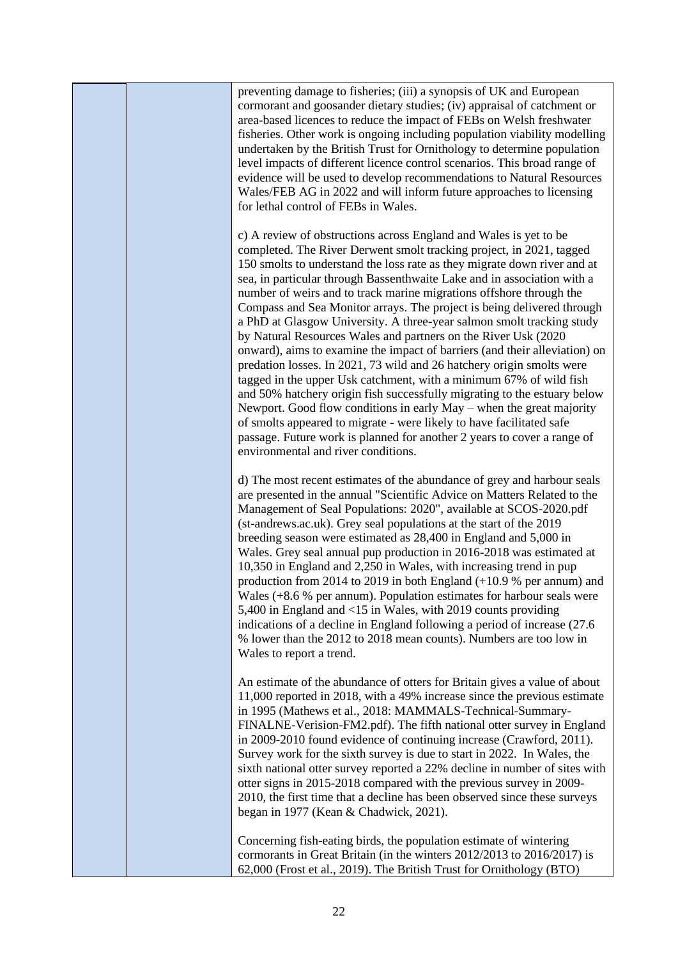preventing damage to fisheries; (iii) a synopsis of UK and European cormorant and goosander dietary studies; (iv) appraisal of catchment or area-based licences to reduce the impact of FEBs on Welsh freshwater fisheries. Other work is ongoing including population viability modelling undertaken by the British Trust for Ornithology to determine population level impacts of different licence control scenarios. This broad range of evidence will be used to develop recommendations to Natural Resources Wales/FEB AG in 2022 and will inform future approaches to licensing for lethal control of FEBs in Wales.

c) A review of obstructions across England and Wales is yet to be completed. The River Derwent smolt tracking project, in 2021, tagged 150 smolts to understand the loss rate as they migrate down river and at sea, in particular through Bassenthwaite Lake and in association with a number of weirs and to track marine migrations offshore through the Compass and Sea Monitor arrays. The project is being delivered through a PhD at Glasgow University. A three-year salmon smolt tracking study by Natural Resources Wales and partners on the River Usk (2020 onward), aims to examine the impact of barriers (and their alleviation) on predation losses. In 2021, 73 wild and 26 hatchery origin smolts were tagged in the upper Usk catchment, with a minimum 67% of wild fish and 50% hatchery origin fish successfully migrating to the estuary below Newport. Good flow conditions in early May – when the great majority of smolts appeared to migrate - were likely to have facilitated safe passage. Future work is planned for another 2 years to cover a range of environmental and river conditions.

d) The most recent estimates of the abundance of grey and harbour seals are presented in the annual "Scientific Advice on Matters Related to the Management of Seal Populations: 2020", available at SCOS-2020.pdf (st-andrews.ac.uk). Grey seal populations at the start of the 2019 breeding season were estimated as 28,400 in England and 5,000 in Wales. Grey seal annual pup production in 2016-2018 was estimated at 10,350 in England and 2,250 in Wales, with increasing trend in pup production from 2014 to 2019 in both England (+10.9 % per annum) and Wales (+8.6 % per annum). Population estimates for harbour seals were 5,400 in England and <15 in Wales, with 2019 counts providing indications of a decline in England following a period of increase (27.6 % lower than the 2012 to 2018 mean counts). Numbers are too low in Wales to report a trend.

An estimate of the abundance of otters for Britain gives a value of about 11,000 reported in 2018, with a 49% increase since the previous estimate in 1995 (Mathews et al., 2018: MAMMALS-Technical-Summary-FINALNE-Verision-FM2.pdf). The fifth national otter survey in England in 2009-2010 found evidence of continuing increase (Crawford, 2011). Survey work for the sixth survey is due to start in 2022. In Wales, the sixth national otter survey reported a 22% decline in number of sites with otter signs in 2015-2018 compared with the previous survey in 2009- 2010, the first time that a decline has been observed since these surveys began in 1977 (Kean & Chadwick, 2021).

Concerning fish-eating birds, the population estimate of wintering cormorants in Great Britain (in the winters 2012/2013 to 2016/2017) is 62,000 (Frost et al., 2019). The British Trust for Ornithology (BTO)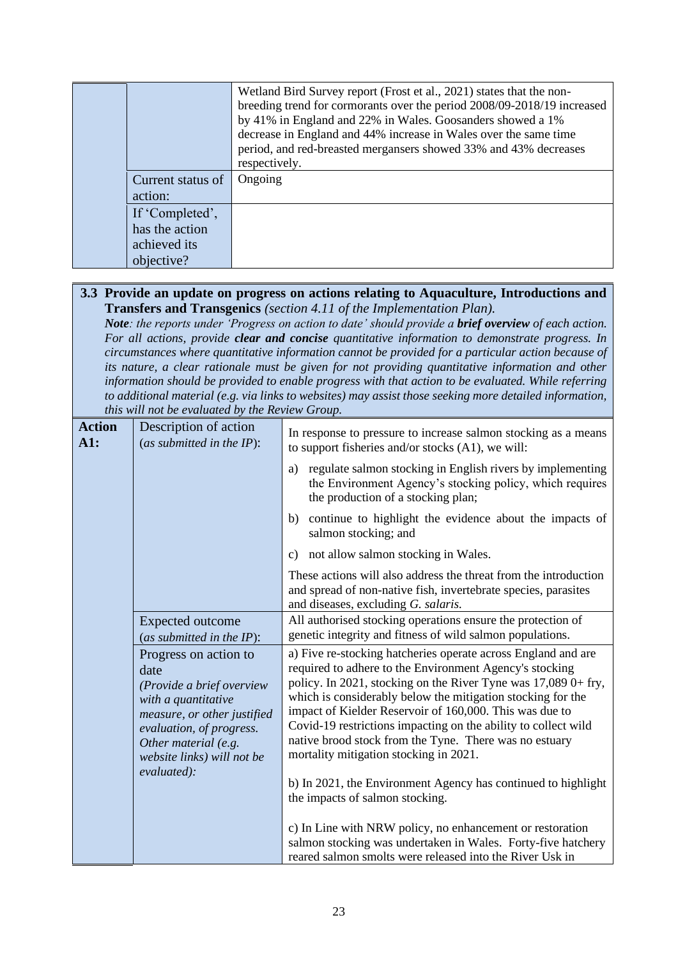|                   | Wetland Bird Survey report (Frost et al., 2021) states that the non-<br>breeding trend for cormorants over the period 2008/09-2018/19 increased<br>by 41% in England and 22% in Wales. Goosanders showed a 1%<br>decrease in England and 44% increase in Wales over the same time<br>period, and red-breasted mergansers showed 33% and 43% decreases<br>respectively. |
|-------------------|------------------------------------------------------------------------------------------------------------------------------------------------------------------------------------------------------------------------------------------------------------------------------------------------------------------------------------------------------------------------|
| Current status of | Ongoing                                                                                                                                                                                                                                                                                                                                                                |
| action:           |                                                                                                                                                                                                                                                                                                                                                                        |
| If 'Completed',   |                                                                                                                                                                                                                                                                                                                                                                        |
| has the action    |                                                                                                                                                                                                                                                                                                                                                                        |
| achieved its      |                                                                                                                                                                                                                                                                                                                                                                        |
| objective?        |                                                                                                                                                                                                                                                                                                                                                                        |

### **3.3 Provide an update on progress on actions relating to Aquaculture, Introductions and Transfers and Transgenics** *(section 4.11 of the Implementation Plan).*

*Note: the reports under 'Progress on action to date' should provide a brief overview of each action. For all actions, provide clear and concise quantitative information to demonstrate progress. In circumstances where quantitative information cannot be provided for a particular action because of its nature, a clear rationale must be given for not providing quantitative information and other information should be provided to enable progress with that action to be evaluated. While referring to additional material (e.g. via links to websites) may assist those seeking more detailed information, this will not be evaluated by the Review Group.*

| <b>Action</b><br>A1: | Description of action<br>(as submitted in the $IP$ ):                                                                                                                                                             | In response to pressure to increase salmon stocking as a means<br>to support fisheries and/or stocks (A1), we will:                                                                                                                                                                                                                                                                                                                                                                                                                                                                            |
|----------------------|-------------------------------------------------------------------------------------------------------------------------------------------------------------------------------------------------------------------|------------------------------------------------------------------------------------------------------------------------------------------------------------------------------------------------------------------------------------------------------------------------------------------------------------------------------------------------------------------------------------------------------------------------------------------------------------------------------------------------------------------------------------------------------------------------------------------------|
|                      |                                                                                                                                                                                                                   | regulate salmon stocking in English rivers by implementing<br>a)<br>the Environment Agency's stocking policy, which requires<br>the production of a stocking plan;                                                                                                                                                                                                                                                                                                                                                                                                                             |
|                      |                                                                                                                                                                                                                   | continue to highlight the evidence about the impacts of<br>b)<br>salmon stocking; and                                                                                                                                                                                                                                                                                                                                                                                                                                                                                                          |
|                      |                                                                                                                                                                                                                   | not allow salmon stocking in Wales.<br>c)                                                                                                                                                                                                                                                                                                                                                                                                                                                                                                                                                      |
|                      |                                                                                                                                                                                                                   | These actions will also address the threat from the introduction<br>and spread of non-native fish, invertebrate species, parasites<br>and diseases, excluding G. salaris.                                                                                                                                                                                                                                                                                                                                                                                                                      |
|                      | <b>Expected outcome</b><br>(as submitted in the IP):                                                                                                                                                              | All authorised stocking operations ensure the protection of<br>genetic integrity and fitness of wild salmon populations.                                                                                                                                                                                                                                                                                                                                                                                                                                                                       |
|                      | Progress on action to<br>date<br>(Provide a brief overview<br>with a quantitative<br>measure, or other justified<br>evaluation, of progress.<br>Other material (e.g.<br>website links) will not be<br>evaluated): | a) Five re-stocking hatcheries operate across England and are<br>required to adhere to the Environment Agency's stocking<br>policy. In 2021, stocking on the River Tyne was 17,089 0+ fry,<br>which is considerably below the mitigation stocking for the<br>impact of Kielder Reservoir of 160,000. This was due to<br>Covid-19 restrictions impacting on the ability to collect wild<br>native brood stock from the Tyne. There was no estuary<br>mortality mitigation stocking in 2021.<br>b) In 2021, the Environment Agency has continued to highlight<br>the impacts of salmon stocking. |
|                      |                                                                                                                                                                                                                   | c) In Line with NRW policy, no enhancement or restoration<br>salmon stocking was undertaken in Wales. Forty-five hatchery<br>reared salmon smolts were released into the River Usk in                                                                                                                                                                                                                                                                                                                                                                                                          |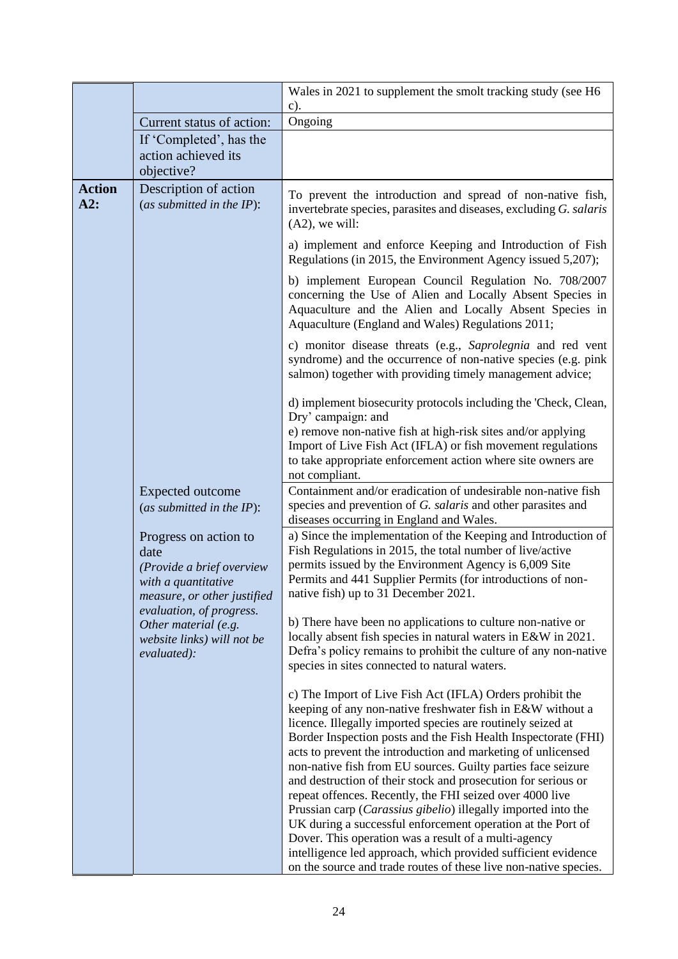|               |                                                                                                                  | Wales in 2021 to supplement the smolt tracking study (see H6                                                                                                                                                                                                                                                                                                                                                                                           |
|---------------|------------------------------------------------------------------------------------------------------------------|--------------------------------------------------------------------------------------------------------------------------------------------------------------------------------------------------------------------------------------------------------------------------------------------------------------------------------------------------------------------------------------------------------------------------------------------------------|
|               |                                                                                                                  | $c)$ .                                                                                                                                                                                                                                                                                                                                                                                                                                                 |
|               | Current status of action:                                                                                        | Ongoing                                                                                                                                                                                                                                                                                                                                                                                                                                                |
|               | If 'Completed', has the                                                                                          |                                                                                                                                                                                                                                                                                                                                                                                                                                                        |
|               | action achieved its<br>objective?                                                                                |                                                                                                                                                                                                                                                                                                                                                                                                                                                        |
| <b>Action</b> |                                                                                                                  |                                                                                                                                                                                                                                                                                                                                                                                                                                                        |
| A2:           | Description of action<br>(as submitted in the $IP$ ):                                                            | To prevent the introduction and spread of non-native fish,<br>invertebrate species, parasites and diseases, excluding G. salaris<br>$(A2)$ , we will:                                                                                                                                                                                                                                                                                                  |
|               |                                                                                                                  | a) implement and enforce Keeping and Introduction of Fish<br>Regulations (in 2015, the Environment Agency issued 5,207);                                                                                                                                                                                                                                                                                                                               |
|               |                                                                                                                  | b) implement European Council Regulation No. 708/2007<br>concerning the Use of Alien and Locally Absent Species in<br>Aquaculture and the Alien and Locally Absent Species in<br>Aquaculture (England and Wales) Regulations 2011;                                                                                                                                                                                                                     |
|               |                                                                                                                  | c) monitor disease threats (e.g., Saprolegnia and red vent<br>syndrome) and the occurrence of non-native species (e.g. pink<br>salmon) together with providing timely management advice;                                                                                                                                                                                                                                                               |
|               |                                                                                                                  | d) implement biosecurity protocols including the 'Check, Clean,<br>Dry' campaign: and<br>e) remove non-native fish at high-risk sites and/or applying<br>Import of Live Fish Act (IFLA) or fish movement regulations                                                                                                                                                                                                                                   |
|               |                                                                                                                  | to take appropriate enforcement action where site owners are<br>not compliant.                                                                                                                                                                                                                                                                                                                                                                         |
|               | <b>Expected outcome</b><br>(as submitted in the $IP$ ):                                                          | Containment and/or eradication of undesirable non-native fish<br>species and prevention of G. salaris and other parasites and<br>diseases occurring in England and Wales.                                                                                                                                                                                                                                                                              |
|               | Progress on action to<br>date<br>(Provide a brief overview<br>with a quantitative<br>measure, or other justified | a) Since the implementation of the Keeping and Introduction of<br>Fish Regulations in 2015, the total number of live/active<br>permits issued by the Environment Agency is 6,009 Site<br>Permits and 441 Supplier Permits (for introductions of non-<br>native fish) up to 31 December 2021.                                                                                                                                                           |
|               | evaluation, of progress.<br>Other material (e.g.<br>website links) will not be<br>evaluated):                    | b) There have been no applications to culture non-native or<br>locally absent fish species in natural waters in E&W in 2021.<br>Defra's policy remains to prohibit the culture of any non-native<br>species in sites connected to natural waters.                                                                                                                                                                                                      |
|               |                                                                                                                  | c) The Import of Live Fish Act (IFLA) Orders prohibit the<br>keeping of any non-native freshwater fish in E&W without a<br>licence. Illegally imported species are routinely seized at<br>Border Inspection posts and the Fish Health Inspectorate (FHI)<br>acts to prevent the introduction and marketing of unlicensed<br>non-native fish from EU sources. Guilty parties face seizure                                                               |
|               |                                                                                                                  | and destruction of their stock and prosecution for serious or<br>repeat offences. Recently, the FHI seized over 4000 live<br>Prussian carp (Carassius gibelio) illegally imported into the<br>UK during a successful enforcement operation at the Port of<br>Dover. This operation was a result of a multi-agency<br>intelligence led approach, which provided sufficient evidence<br>on the source and trade routes of these live non-native species. |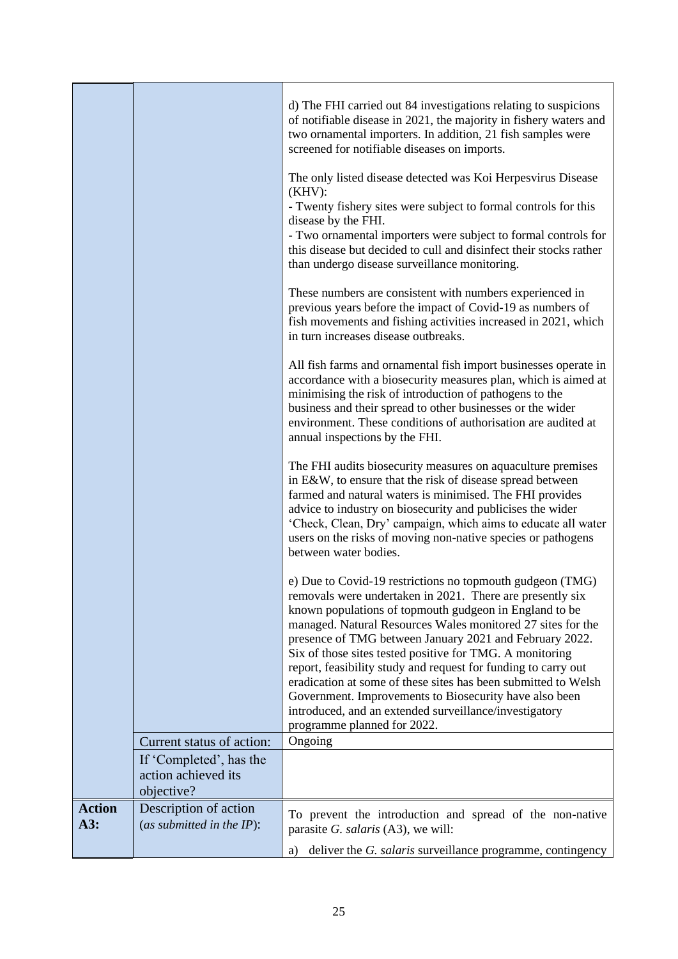|                      |                                                              | d) The FHI carried out 84 investigations relating to suspicions<br>of notifiable disease in 2021, the majority in fishery waters and<br>two ornamental importers. In addition, 21 fish samples were<br>screened for notifiable diseases on imports.<br>The only listed disease detected was Koi Herpesvirus Disease<br>$(KHV)$ :<br>- Twenty fishery sites were subject to formal controls for this<br>disease by the FHI.<br>- Two ornamental importers were subject to formal controls for<br>this disease but decided to cull and disinfect their stocks rather<br>than undergo disease surveillance monitoring.<br>These numbers are consistent with numbers experienced in<br>previous years before the impact of Covid-19 as numbers of |
|----------------------|--------------------------------------------------------------|-----------------------------------------------------------------------------------------------------------------------------------------------------------------------------------------------------------------------------------------------------------------------------------------------------------------------------------------------------------------------------------------------------------------------------------------------------------------------------------------------------------------------------------------------------------------------------------------------------------------------------------------------------------------------------------------------------------------------------------------------|
|                      |                                                              | fish movements and fishing activities increased in 2021, which<br>in turn increases disease outbreaks.<br>All fish farms and ornamental fish import businesses operate in                                                                                                                                                                                                                                                                                                                                                                                                                                                                                                                                                                     |
|                      |                                                              | accordance with a biosecurity measures plan, which is aimed at<br>minimising the risk of introduction of pathogens to the<br>business and their spread to other businesses or the wider<br>environment. These conditions of authorisation are audited at<br>annual inspections by the FHI.                                                                                                                                                                                                                                                                                                                                                                                                                                                    |
|                      |                                                              | The FHI audits biosecurity measures on aquaculture premises<br>in E&W, to ensure that the risk of disease spread between<br>farmed and natural waters is minimised. The FHI provides<br>advice to industry on biosecurity and publicises the wider<br>'Check, Clean, Dry' campaign, which aims to educate all water<br>users on the risks of moving non-native species or pathogens<br>between water bodies.                                                                                                                                                                                                                                                                                                                                  |
|                      |                                                              | e) Due to Covid-19 restrictions no topmouth gudgeon (TMG)<br>removals were undertaken in 2021. There are presently six<br>known populations of topmouth gudgeon in England to be<br>managed. Natural Resources Wales monitored 27 sites for the<br>presence of TMG between January 2021 and February 2022.<br>Six of those sites tested positive for TMG. A monitoring<br>report, feasibility study and request for funding to carry out<br>eradication at some of these sites has been submitted to Welsh<br>Government. Improvements to Biosecurity have also been<br>introduced, and an extended surveillance/investigatory<br>programme planned for 2022.                                                                                 |
|                      | Current status of action:                                    | Ongoing                                                                                                                                                                                                                                                                                                                                                                                                                                                                                                                                                                                                                                                                                                                                       |
|                      | If 'Completed', has the<br>action achieved its<br>objective? |                                                                                                                                                                                                                                                                                                                                                                                                                                                                                                                                                                                                                                                                                                                                               |
| <b>Action</b><br>A3: | Description of action<br>(as submitted in the $IP$ ):        | To prevent the introduction and spread of the non-native<br>parasite G. salaris (A3), we will:                                                                                                                                                                                                                                                                                                                                                                                                                                                                                                                                                                                                                                                |
|                      |                                                              | deliver the G. salaris surveillance programme, contingency<br>a)                                                                                                                                                                                                                                                                                                                                                                                                                                                                                                                                                                                                                                                                              |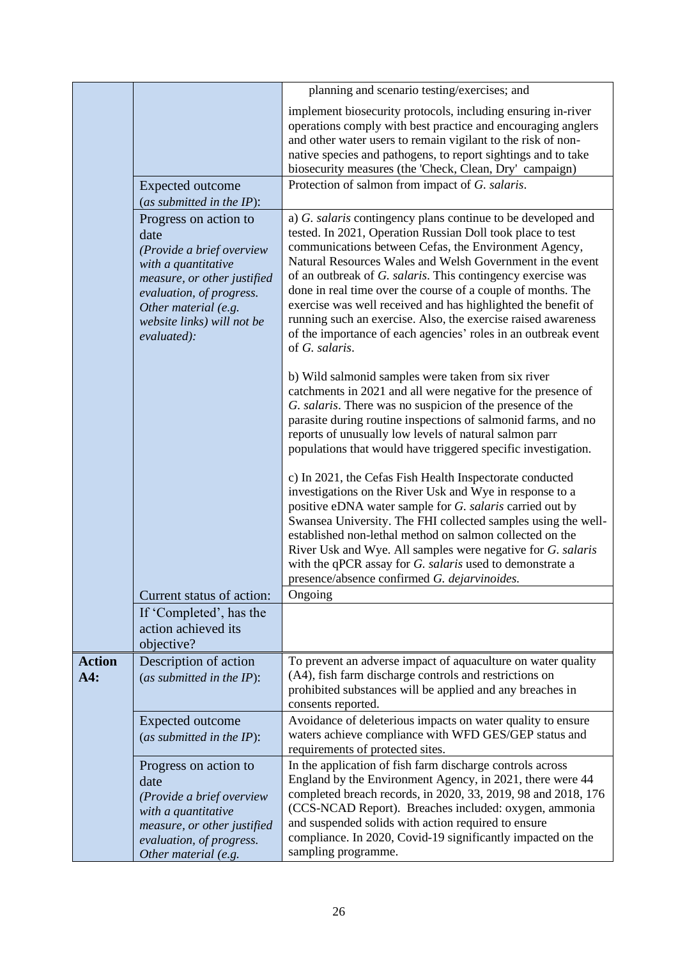|                      |                                                                                                                                                                                                                   | planning and scenario testing/exercises; and                                                                                                                                                                                                                                                                                                                                                                                                                                                                                                                                                          |
|----------------------|-------------------------------------------------------------------------------------------------------------------------------------------------------------------------------------------------------------------|-------------------------------------------------------------------------------------------------------------------------------------------------------------------------------------------------------------------------------------------------------------------------------------------------------------------------------------------------------------------------------------------------------------------------------------------------------------------------------------------------------------------------------------------------------------------------------------------------------|
|                      |                                                                                                                                                                                                                   | implement biosecurity protocols, including ensuring in-river<br>operations comply with best practice and encouraging anglers<br>and other water users to remain vigilant to the risk of non-<br>native species and pathogens, to report sightings and to take<br>biosecurity measures (the 'Check, Clean, Dry' campaign)                                                                                                                                                                                                                                                                              |
|                      | Expected outcome<br>(as submitted in the $IP$ ):                                                                                                                                                                  | Protection of salmon from impact of G. salaris.                                                                                                                                                                                                                                                                                                                                                                                                                                                                                                                                                       |
|                      | Progress on action to<br>date<br>(Provide a brief overview<br>with a quantitative<br>measure, or other justified<br>evaluation, of progress.<br>Other material (e.g.<br>website links) will not be<br>evaluated): | a) G. salaris contingency plans continue to be developed and<br>tested. In 2021, Operation Russian Doll took place to test<br>communications between Cefas, the Environment Agency,<br>Natural Resources Wales and Welsh Government in the event<br>of an outbreak of G. salaris. This contingency exercise was<br>done in real time over the course of a couple of months. The<br>exercise was well received and has highlighted the benefit of<br>running such an exercise. Also, the exercise raised awareness<br>of the importance of each agencies' roles in an outbreak event<br>of G. salaris. |
|                      |                                                                                                                                                                                                                   | b) Wild salmonid samples were taken from six river<br>catchments in 2021 and all were negative for the presence of<br>G. salaris. There was no suspicion of the presence of the<br>parasite during routine inspections of salmonid farms, and no<br>reports of unusually low levels of natural salmon parr<br>populations that would have triggered specific investigation.                                                                                                                                                                                                                           |
|                      |                                                                                                                                                                                                                   | c) In 2021, the Cefas Fish Health Inspectorate conducted<br>investigations on the River Usk and Wye in response to a<br>positive eDNA water sample for G. salaris carried out by<br>Swansea University. The FHI collected samples using the well-<br>established non-lethal method on salmon collected on the<br>River Usk and Wye. All samples were negative for G. salaris<br>with the qPCR assay for G. salaris used to demonstrate a<br>presence/absence confirmed G. dejarvinoides.                                                                                                              |
|                      | Current status of action:                                                                                                                                                                                         | Ongoing                                                                                                                                                                                                                                                                                                                                                                                                                                                                                                                                                                                               |
|                      | If 'Completed', has the<br>action achieved its<br>objective?                                                                                                                                                      |                                                                                                                                                                                                                                                                                                                                                                                                                                                                                                                                                                                                       |
| <b>Action</b><br>A4: | Description of action<br>(as submitted in the $IP$ ):                                                                                                                                                             | To prevent an adverse impact of aquaculture on water quality<br>(A4), fish farm discharge controls and restrictions on<br>prohibited substances will be applied and any breaches in<br>consents reported.                                                                                                                                                                                                                                                                                                                                                                                             |
|                      | <b>Expected outcome</b><br>(as submitted in the $IP$ ):                                                                                                                                                           | Avoidance of deleterious impacts on water quality to ensure<br>waters achieve compliance with WFD GES/GEP status and<br>requirements of protected sites.                                                                                                                                                                                                                                                                                                                                                                                                                                              |
|                      | Progress on action to<br>date<br>(Provide a brief overview<br>with a quantitative<br>measure, or other justified<br>evaluation, of progress.<br>Other material (e.g.                                              | In the application of fish farm discharge controls across<br>England by the Environment Agency, in 2021, there were 44<br>completed breach records, in 2020, 33, 2019, 98 and 2018, 176<br>(CCS-NCAD Report). Breaches included: oxygen, ammonia<br>and suspended solids with action required to ensure<br>compliance. In 2020, Covid-19 significantly impacted on the<br>sampling programme.                                                                                                                                                                                                         |